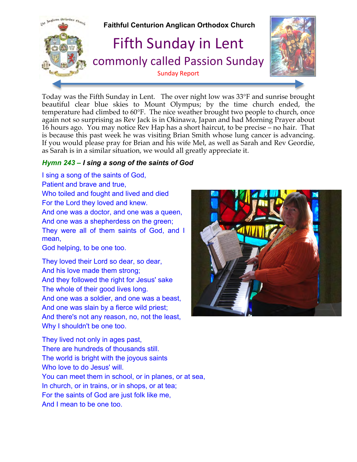

Today was the Fifth Sunday in Lent. The over night low was 33°F and sunrise brought beautiful clear blue skies to Mount Olympus; by the time church ended, the temperature had climbed to 60°F. The nice weather brought two people to church, once again not so surprising as Rev Jack is in Okinawa, Japan and had Morning Prayer about 16 hours ago. You may notice Rev Hap has a short haircut, to be precise – no hair. That is because this past week he was visiting Brian Smith whose lung cancer is advancing. If you would please pray for Brian and his wife Mel, as well as Sarah and Rev Geordie, as Sarah is in a similar situation, we would all greatly appreciate it.

# *Hymn 243 – I sing a song of the saints of God*

I sing a song of the saints of God, Patient and brave and true, Who toiled and fought and lived and died For the Lord they loved and knew. And one was a doctor, and one was a queen, And one was a shepherdess on the green; They were all of them saints of God, and I mean,

God helping, to be one too.

They loved their Lord so dear, so dear, And his love made them strong; And they followed the right for Jesus' sake The whole of their good lives long. And one was a soldier, and one was a beast, And one was slain by a fierce wild priest; And there's not any reason, no, not the least, Why I shouldn't be one too.

They lived not only in ages past, There are hundreds of thousands still. The world is bright with the joyous saints Who love to do Jesus' will. You can meet them in school, or in planes, or at sea, In church, or in trains, or in shops, or at tea; For the saints of God are just folk like me, And I mean to be one too.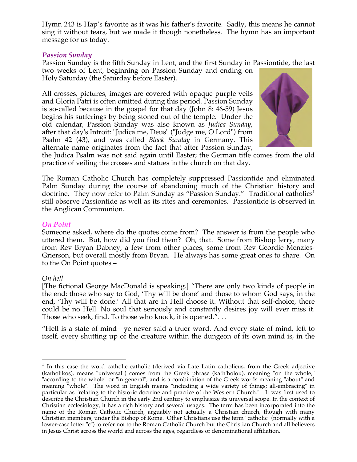Hymn 243 is Hap's favorite as it was his father's favorite. Sadly, this means he cannot sing it without tears, but we made it though nonetheless. The hymn has an important message for us today.

#### *Passion Sunday*

Passion Sunday is the fifth Sunday in Lent, and the first Sunday in Passiontide, the last two weeks of Lent, beginning on Passion Sunday and ending on Holy Saturday (the Saturday before Easter).

All crosses, pictures, images are covered with opaque purple veils and Gloria Patri is often omitted during this period. Passion Sunday is so-called because in the gospel for that day (John 8: 46-59) Jesus begins his sufferings by being stoned out of the temple. Under the old calendar, Passion Sunday was also known as *Judica Sunday*, after that day's Introit: "Judica me, Deus" ("Judge me, O Lord") from Psalm 42 (43), and was called *Black Sunday* in Germany. This alternate name originates from the fact that after Passion Sunday,



the Judica Psalm was not said again until Easter; the German title comes from the old practice of veiling the crosses and statues in the church on that day.

The Roman Catholic Church has completely suppressed Passiontide and eliminated Palm Sunday during the course of abandoning much of the Christian history and doctrine. They now refer to Palm Sunday as "Passion Sunday." Traditional catholics<sup>1</sup> still observe Passiontide as well as its rites and ceremonies. Passiontide is observed in the Anglican Communion.

#### *On Point*

Someone asked, where do the quotes come from? The answer is from the people who uttered them. But, how did you find them? Oh, that. Some from Bishop Jerry, many from Rev Bryan Dabney, a few from other places, some from Rev Geordie Menzies-Grierson, but overall mostly from Bryan. He always has some great ones to share. On to the On Point quotes –

#### *On hell*

[The fictional George MacDonald is speaking.] "There are only two kinds of people in the end: those who say to God, 'Thy will be done' and those to whom God says, in the end, 'Thy will be done.' All that are in Hell choose it. Without that self-choice, there could be no Hell. No soul that seriously and constantly desires joy will ever miss it. Those who seek, find. To those who knock, it is opened."...

"Hell is a state of mind—ye never said a truer word. And every state of mind, left to itself, every shutting up of the creature within the dungeon of its own mind is, in the

 $1$  In this case the word catholic catholic (derived via Late Latin catholicus, from the Greek adjective (katholikos), means "universal") comes from the Greek phrase (kath'holou), meaning "on the whole," "according to the whole" or "in general", and is a combination of the Greek words meaning "about" and meaning "whole". The word in English means "including a wide variety of things; all-embracing" in particular as "relating to the historic doctrine and practice of the Western Church." It was first used to describe the Christian Church in the early 2nd century to emphasize its universal scope. In the context of Christian ecclesiology, it has a rich history and several usages. The term has been incorporated into the name of the Roman Catholic Church, arguably not actually a Christian church, though with many Christian members, under the Bishop of Rome. Other Christians use the term "catholic" (normally with a lower-case letter "c") to refer not to the Roman Catholic Church but the Christian Church and all believers in Jesus Christ across the world and across the ages, regardless of denominational affiliation.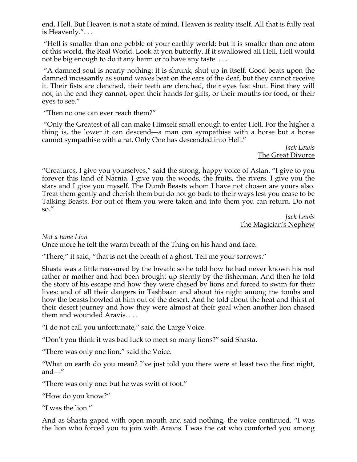end, Hell. But Heaven is not a state of mind. Heaven is reality itself. All that is fully real is Heavenly.". . .

 "Hell is smaller than one pebble of your earthly world: but it is smaller than one atom of this world, the Real World. Look at yon butterfly. If it swallowed all Hell, Hell would not be big enough to do it any harm or to have any taste. . . .

 "A damned soul is nearly nothing: it is shrunk, shut up in itself. Good beats upon the damned incessantly as sound waves beat on the ears of the deaf, but they cannot receive it. Their fists are clenched, their teeth are clenched, their eyes fast shut. First they will not, in the end they cannot, open their hands for gifts, or their mouths for food, or their eyes to see."

"Then no one can ever reach them?"

 "Only the Greatest of all can make Himself small enough to enter Hell. For the higher a thing is, the lower it can descend—a man can sympathise with a horse but a horse cannot sympathise with a rat. Only One has descended into Hell."

> *Jack Lewis* The Great Divorce

"Creatures, I give you yourselves," said the strong, happy voice of Aslan. "I give to you forever this land of Narnia. I give you the woods, the fruits, the rivers. I give you the stars and I give you myself. The Dumb Beasts whom I have not chosen are yours also. Treat them gently and cherish them but do not go back to their ways lest you cease to be Talking Beasts. For out of them you were taken and into them you can return. Do not so."

*Jack Lewis* The Magician's Nephew

*Not a tame Lion*

Once more he felt the warm breath of the Thing on his hand and face.

"There," it said, "that is not the breath of a ghost. Tell me your sorrows."

Shasta was a little reassured by the breath: so he told how he had never known his real father or mother and had been brought up sternly by the fisherman. And then he told the story of his escape and how they were chased by lions and forced to swim for their lives; and of all their dangers in Tashbaan and about his night among the tombs and how the beasts howled at him out of the desert. And he told about the heat and thirst of their desert journey and how they were almost at their goal when another lion chased them and wounded Aravis. . . .

"I do not call you unfortunate," said the Large Voice.

"Don't you think it was bad luck to meet so many lions?" said Shasta.

"There was only one lion," said the Voice.

"What on earth do you mean? I've just told you there were at least two the first night, and—"

"There was only one: but he was swift of foot."

"How do you know?"

"I was the lion."

And as Shasta gaped with open mouth and said nothing, the voice continued. "I was the lion who forced you to join with Aravis. I was the cat who comforted you among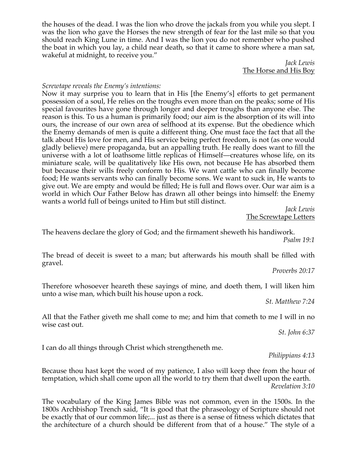the houses of the dead. I was the lion who drove the jackals from you while you slept. I was the lion who gave the Horses the new strength of fear for the last mile so that you should reach King Lune in time. And I was the lion you do not remember who pushed the boat in which you lay, a child near death, so that it came to shore where a man sat, wakeful at midnight, to receive you."

> *Jack Lewis* The Horse and His Boy

#### *Screwtape reveals the Enemy's intentions:*

Now it may surprise you to learn that in His [the Enemy's] efforts to get permanent possession of a soul, He relies on the troughs even more than on the peaks; some of His special favourites have gone through longer and deeper troughs than anyone else. The reason is this. To us a human is primarily food; our aim is the absorption of its will into ours, the increase of our own area of selfhood at its expense. But the obedience which the Enemy demands of men is quite a different thing. One must face the fact that all the talk about His love for men, and His service being perfect freedom, is not (as one would gladly believe) mere propaganda, but an appalling truth. He really does want to fill the universe with a lot of loathsome little replicas of Himself—creatures whose life, on its miniature scale, will be qualitatively like His own, not because He has absorbed them but because their wills freely conform to His. We want cattle who can finally become food; He wants servants who can finally become sons. We want to suck in, He wants to give out. We are empty and would be filled; He is full and flows over. Our war aim is a world in which Our Father Below has drawn all other beings into himself: the Enemy wants a world full of beings united to Him but still distinct.

> *Jack Lewis* The Screwtape Letters

The heavens declare the glory of God; and the firmament sheweth his handiwork. *Psalm 19:1*

The bread of deceit is sweet to a man; but afterwards his mouth shall be filled with gravel.

*Proverbs 20:17*

Therefore whosoever heareth these sayings of mine, and doeth them, I will liken him unto a wise man, which built his house upon a rock.

*St. Matthew 7:24*

All that the Father giveth me shall come to me; and him that cometh to me I will in no wise cast out.

*St. John 6:37*

I can do all things through Christ which strengtheneth me.

*Philippians 4:13*

Because thou hast kept the word of my patience, I also will keep thee from the hour of temptation, which shall come upon all the world to try them that dwell upon the earth. *Revelation 3:10*

The vocabulary of the King James Bible was not common, even in the 1500s. In the 1800s Archbishop Trench said, "It is good that the phraseology of Scripture should not be exactly that of our common life;... just as there is a sense of fitness which dictates that the architecture of a church should be different from that of a house." The style of a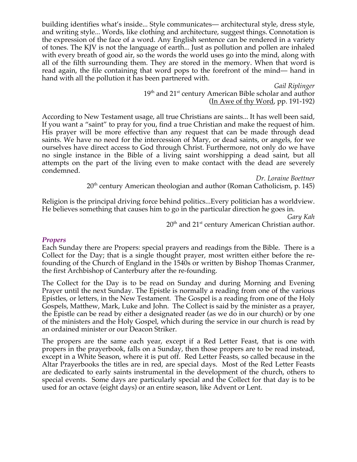building identifies what's inside... Style communicates— architectural style, dress style, and writing style... Words, like clothing and architecture, suggest things. Connotation is the expression of the face of a word. Any English sentence can be rendered in a variety of tones. The KJV is not the language of earth... Just as pollution and pollen are inhaled with every breath of good air, so the words the world uses go into the mind, along with all of the filth surrounding them. They are stored in the memory. When that word is read again, the file containing that word pops to the forefront of the mind— hand in hand with all the pollution it has been partnered with.

> *Gail Riplinger* 19<sup>th</sup> and 21<sup>st</sup> century American Bible scholar and author  $(In$  Awe of thy Word, pp. 191-192)

According to New Testament usage, all true Christians are saints... It has well been said, If you want a "saint" to pray for you, find a true Christian and make the request of him. His prayer will be more effective than any request that can be made through dead saints. We have no need for the intercession of Mary, or dead saints, or angels, for we ourselves have direct access to God through Christ. Furthermore, not only do we have no single instance in the Bible of a living saint worshipping a dead saint, but all attempts on the part of the living even to make contact with the dead are severely condemned.

*Dr. Loraine Boettner*

 $20<sup>th</sup>$  century American theologian and author (Roman Catholicism, p. 145)

Religion is the principal driving force behind politics...Every politician has a worldview. He believes something that causes him to go in the particular direction he goes in.

*Gary Kah*

 $20<sup>th</sup>$  and  $21<sup>st</sup>$  century American Christian author.

#### *Propers*

Each Sunday there are Propers: special prayers and readings from the Bible. There is a Collect for the Day; that is a single thought prayer, most written either before the refounding of the Church of England in the 1540s or written by Bishop Thomas Cranmer, the first Archbishop of Canterbury after the re-founding.

The Collect for the Day is to be read on Sunday and during Morning and Evening Prayer until the next Sunday. The Epistle is normally a reading from one of the various Epistles, or letters, in the New Testament. The Gospel is a reading from one of the Holy Gospels, Matthew, Mark, Luke and John. The Collect is said by the minister as a prayer, the Epistle can be read by either a designated reader (as we do in our church) or by one of the ministers and the Holy Gospel, which during the service in our church is read by an ordained minister or our Deacon Striker.

The propers are the same each year, except if a Red Letter Feast, that is one with propers in the prayerbook, falls on a Sunday, then those propers are to be read instead, except in a White Season, where it is put off. Red Letter Feasts, so called because in the Altar Prayerbooks the titles are in red, are special days. Most of the Red Letter Feasts are dedicated to early saints instrumental in the development of the church, others to special events. Some days are particularly special and the Collect for that day is to be used for an octave (eight days) or an entire season, like Advent or Lent.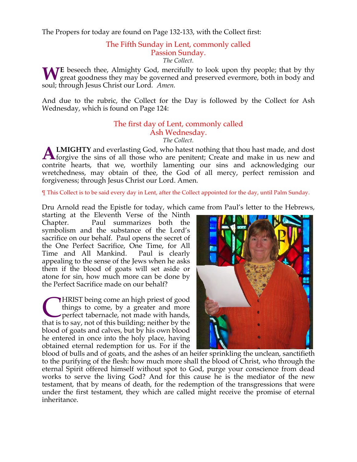The Propers for today are found on Page 132-133, with the Collect first:

#### The Fifth Sunday in Lent, commonly called Passion Sunday. *The Collect.*

**WE** beseech thee, Almighty God, mercifully to look upon thy people; that by thy great goodness they may be governed and preserved evermore, both in body and great goodness they may be governed and preserved evermore, both in body and soul; through Jesus Christ our Lord*. Amen.*

And due to the rubric, the Collect for the Day is followed by the Collect for Ash Wednesday, which is found on Page 124:

#### The first day of Lent, commonly called Ash Wednesday. *The Collect.*

**LMIGHTY** and everlasting God, who hatest nothing that thou hast made, and dost **ALMIGHTY** and everlasting God, who hatest nothing that thou hast made, and dost forgive the sins of all those who are penitent; Create and make in us new and contrite hearts, that we, worthily lamenting our sins and acknowledging our wretchedness, may obtain of thee, the God of all mercy, perfect remission and forgiveness; through Jesus Christ our Lord. Amen.

¶ This Collect is to be said every day in Lent, after the Collect appointed for the day, until Palm Sunday.

Dru Arnold read the Epistle for today, which came from Paul's letter to the Hebrews,

starting at the Eleventh Verse of the Ninth Chapter. Paul summarizes both the symbolism and the substance of the Lord's sacrifice on our behalf. Paul opens the secret of the One Perfect Sacrifice, One Time, for All Time and All Mankind. appealing to the sense of the Jews when he asks them if the blood of goats will set aside or atone for sin, how much more can be done by the Perfect Sacrifice made on our behalf?

**HRIST** being come an high priest of good things to come, by a greater and more perfect tabernacle, not made with hands, **CHRIST** being come an high priest of good things to come, by a greater and more perfect tabernacle, not made with hands, that is to say, not of this building; neither by the blood of goats and calves, but by his own blood he entered in once into the holy place, having obtained eternal redemption for us. For if the



blood of bulls and of goats, and the ashes of an heifer sprinkling the unclean, sanctifieth to the purifying of the flesh: how much more shall the blood of Christ, who through the eternal Spirit offered himself without spot to God, purge your conscience from dead works to serve the living God? And for this cause he is the mediator of the new testament, that by means of death, for the redemption of the transgressions that were under the first testament, they which are called might receive the promise of eternal inheritance.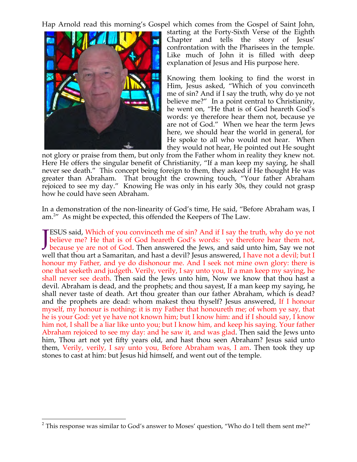Hap Arnold read this morning's Gospel which comes from the Gospel of Saint John,



starting at the Forty-Sixth Verse of the Eighth Chapter and tells the story of Jesus' confrontation with the Pharisees in the temple. Like much of John it is filled with deep explanation of Jesus and His purpose here.

Knowing them looking to find the worst in Him, Jesus asked, "Which of you convinceth me of sin? And if I say the truth, why do ye not believe me?" In a point central to Christianity, he went on, "He that is of God heareth God's words: ye therefore hear them not, because ye are not of God." When we hear the term Jews here, we should hear the world in general, for He spoke to all who would not hear. When they would not hear, He pointed out He sought

not glory or praise from them, but only from the Father whom in reality they knew not. Here He offers the singular benefit of Christianity, "If a man keep my saying, he shall never see death." This concept being foreign to them, they asked if He thought He was greater than Abraham. That brought the crowning touch, "Your father Abraham rejoiced to see my day." Knowing He was only in his early 30s, they could not grasp how he could have seen Abraham.

In a demonstration of the non-linearity of God's time, He said, "Before Abraham was, I am.<sup>2</sup> As might be expected, this offended the Keepers of The Law.

**TESUS** said, Which of you convinceth me of sin? And if I say the truth, why do ye not believe me? He that is of God heareth God's words: ye therefore hear them not, **JESUS** said, Which of you convinceth me of sin? And if I say the truth, why do ye not believe me? He that is of God heareth God's words: ye therefore hear them not, because ye are not of God. Then answered the Jews, and s well that thou art a Samaritan, and hast a devil? Jesus answered, I have not a devil; but I honour my Father, and ye do dishonour me. And I seek not mine own glory: there is one that seeketh and judgeth. Verily, verily, I say unto you, If a man keep my saying, he shall never see death. Then said the Jews unto him, Now we know that thou hast a devil. Abraham is dead, and the prophets; and thou sayest, If a man keep my saying, he shall never taste of death. Art thou greater than our father Abraham, which is dead? and the prophets are dead: whom makest thou thyself? Jesus answered, If I honour myself, my honour is nothing: it is my Father that honoureth me; of whom ye say, that he is your God: yet ye have not known him; but I know him: and if I should say, I know him not, I shall be a liar like unto you; but I know him, and keep his saying. Your father Abraham rejoiced to see my day: and he saw it, and was glad. Then said the Jews unto him, Thou art not yet fifty years old, and hast thou seen Abraham? Jesus said unto them, Verily, verily, I say unto you, Before Abraham was, I am. Then took they up stones to cast at him: but Jesus hid himself, and went out of the temple.

<sup>&</sup>lt;sup>2</sup> This response was similar to God's answer to Moses' question, "Who do I tell them sent me?"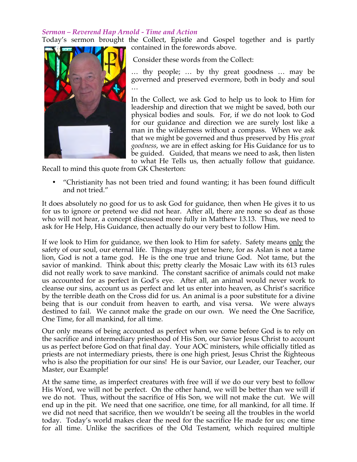# *Sermon – Reverend Hap Arnold - Time and Action*

Today's sermon brought the Collect, Epistle and Gospel together and is partly contained in the forewords above.



Consider these words from the Collect:

… thy people; … by thy great goodness … may be governed and preserved evermore, both in body and soul …

In the Collect, we ask God to help us to look to Him for leadership and direction that we might be saved, both our physical bodies and souls. For, if we do not look to God for our guidance and direction we are surely lost like a man in the wilderness without a compass. When we ask that we might be governed and thus preserved by His *great goodness*, we are in effect asking for His Guidance for us to be guided. Guided, that means we need to ask, then listen to what He Tells us, then actually follow that guidance.

Recall to mind this quote from GK Chesterton:

• "Christianity has not been tried and found wanting; it has been found difficult and not tried."

It does absolutely no good for us to ask God for guidance, then when He gives it to us for us to ignore or pretend we did not hear. After all, there are none so deaf as those who will not hear, a concept discussed more fully in Matthew 13.13. Thus, we need to ask for He Help, His Guidance, then actually do our very best to follow Him.

If we look to Him for guidance, we then look to Him for safety. Safety means only the safety of our soul, our eternal life. Things may get tense here, for as Aslan is not a tame lion, God is not a tame god. He is the one true and triune God. Not tame, but the savior of mankind. Think about this; pretty clearly the Mosaic Law with its 613 rules did not really work to save mankind. The constant sacrifice of animals could not make us accounted for as perfect in God's eye. After all, an animal would never work to cleanse our sins, account us as perfect and let us enter into heaven, as Christ's sacrifice by the terrible death on the Cross did for us. An animal is a poor substitute for a divine being that is our conduit from heaven to earth, and visa versa. We were always destined to fail. We cannot make the grade on our own. We need the One Sacrifice, One Time, for all mankind, for all time.

Our only means of being accounted as perfect when we come before God is to rely on the sacrifice and intermediary priesthood of His Son, our Savior Jesus Christ to account us as perfect before God on that final day. Your AOC ministers, while officially titled as priests are not intermediary priests, there is one high priest, Jesus Christ the Righteous who is also the propitiation for our sins! He is our Savior, our Leader, our Teacher, our Master, our Example!

At the same time, as imperfect creatures with free will if we do our very best to follow His Word, we will not be perfect. On the other hand, we will be better than we will if we do not. Thus, without the sacrifice of His Son, we will not make the cut. We will end up in the pit. We need that one sacrifice, one time, for all mankind, for all time. If we did not need that sacrifice, then we wouldn't be seeing all the troubles in the world today. Today's world makes clear the need for the sacrifice He made for us; one time for all time. Unlike the sacrifices of the Old Testament, which required multiple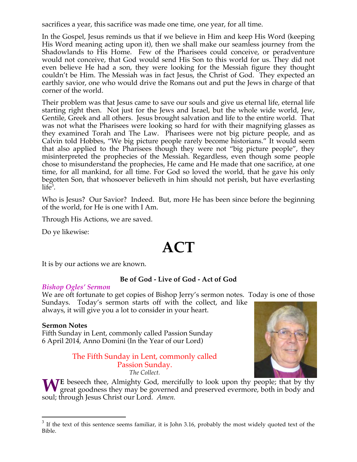sacrifices a year, this sacrifice was made one time, one year, for all time.

In the Gospel, Jesus reminds us that if we believe in Him and keep His Word (keeping His Word meaning acting upon it), then we shall make our seamless journey from the Shadowlands to His Home. Few of the Pharisees could conceive, or peradventure would not conceive, that God would send His Son to this world for us. They did not even believe He had a son, they were looking for the Messiah figure they thought couldn't be Him. The Messiah was in fact Jesus, the Christ of God. They expected an earthly savior, one who would drive the Romans out and put the Jews in charge of that corner of the world.

Their problem was that Jesus came to save our souls and give us eternal life, eternal life starting right then. Not just for the Jews and Israel, but the whole wide world, Jew, Gentile, Greek and all others. Jesus brought salvation and life to the entire world. That was not what the Pharisees were looking so hard for with their magnifying glasses as they examined Torah and The Law. Pharisees were not big picture people, and as Calvin told Hobbes, "We big picture people rarely become historians." It would seem that also applied to the Pharisees though they were not "big picture people", they misinterpreted the prophecies of the Messiah. Regardless, even though some people chose to misunderstand the prophecies, He came and He made that one sacrifice, at one time, for all mankind, for all time. For God so loved the world, that he gave his only begotten Son, that whosoever believeth in him should not perish, but have everlasting  $life^3$ .

Who is Jesus? Our Savior? Indeed. But, more He has been since before the beginning of the world, for He is one with I Am.

Through His Actions, we are saved.

Do ye likewise:

# **ACT**

It is by our actions we are known.

# **Be of God - Live of God - Act of God**

#### *Bishop Ogles' Sermon*

We are oft fortunate to get copies of Bishop Jerry's sermon notes. Today is one of those Sundays. Today's sermon starts off with the collect, and like

always, it will give you a lot to consider in your heart.

#### **Sermon Notes**

Fifth Sunday in Lent, commonly called Passion Sunday 6 April 2014, Anno Domini (In the Year of our Lord)

#### The Fifth Sunday in Lent, commonly called Passion Sunday. *The Collect.*



**WE** beseech thee, Almighty God, mercifully to look upon thy people; that by thy great goodness they may be governed and preserved evermore, both in body and great goodness they may be governed and preserved evermore, both in body and soul; through Jesus Christ our Lord*. Amen.*

 $3$  If the text of this sentence seems familiar, it is John 3.16, probably the most widely quoted text of the Bible.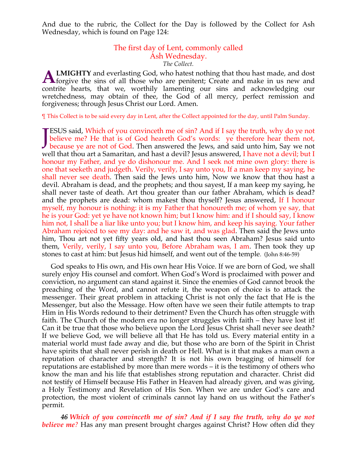And due to the rubric, the Collect for the Day is followed by the Collect for Ash Wednesday, which is found on Page 124:

#### The first day of Lent, commonly called Ash Wednesday. *The Collect.*

**LMIGHTY** and everlasting God, who hatest nothing that thou hast made, and dost **ALMIGHTY** and everlasting God, who hatest nothing that thou hast made, and dost forgive the sins of all those who are penitent; Create and make in us new and contrite hearts, that we, worthily lamenting our sins and acknowledging our wretchedness, may obtain of thee, the God of all mercy, perfect remission and forgiveness; through Jesus Christ our Lord. Amen.

¶ This Collect is to be said every day in Lent, after the Collect appointed for the day, until Palm Sunday.

ESUS said, Which of you convinceth me of sin? And if I say the truth, why do ye not believe me? He that is of God heareth God's words: ye therefore hear them not, **JESUS** said, Which of you convinceth me of sin? And if I say the truth, why do ye not believe me? He that is of God heareth God's words: ye therefore hear them not, because ye are not of God. Then answered the Jews, and s well that thou art a Samaritan, and hast a devil? Jesus answered, I have not a devil; but I honour my Father, and ye do dishonour me. And I seek not mine own glory: there is one that seeketh and judgeth. Verily, verily, I say unto you, If a man keep my saying, he shall never see death. Then said the Jews unto him, Now we know that thou hast a devil. Abraham is dead, and the prophets; and thou sayest, If a man keep my saying, he shall never taste of death. Art thou greater than our father Abraham, which is dead? and the prophets are dead: whom makest thou thyself? Jesus answered, If I honour myself, my honour is nothing: it is my Father that honoureth me; of whom ye say, that he is your God: yet ye have not known him; but I know him: and if I should say, I know him not, I shall be a liar like unto you; but I know him, and keep his saying. Your father Abraham rejoiced to see my day: and he saw it, and was glad. Then said the Jews unto him, Thou art not yet fifty years old, and hast thou seen Abraham? Jesus said unto them, Verily, verily, I say unto you, Before Abraham was, I am. Then took they up stones to cast at him: but Jesus hid himself, and went out of the temple. (John 8:46-59)

 God speaks to His own, and His own hear His Voice. If we are born of God, we shall surely enjoy His counsel and comfort. When God's Word is proclaimed with power and conviction, no argument can stand against it. Since the enemies of God cannot brook the preaching of the Word, and cannot refute it, the weapon of choice is to attack the messenger. Their great problem in attacking Christ is not only the fact that He is the Messenger, but also the Message. How often have we seen their futile attempts to trap Him in His Words redound to their detriment? Even the Church has often struggle with faith. The Church of the modern era no longer struggles with faith – they have lost it! Can it be true that those who believe upon the Lord Jesus Christ shall never see death? If we believe God, we will believe all that He has told us. Every material entity in a material world must fade away and die, but those who are born of the Spirit in Christ have spirits that shall never perish in death or Hell. What is it that makes a man own a reputation of character and strength? It is not his own bragging of himself for reputations are established by more than mere words – it is the testimony of others who know the man and his life that establishes strong reputation and character. Christ did not testify of Himself because His Father in Heaven had already given, and was giving, a Holy Testimony and Revelation of His Son. When we are under God's care and protection, the most violent of criminals cannot lay hand on us without the Father's permit.

 *46 Which of you convinceth me of sin? And if I say the truth, why do ye not believe me*? Has any man present brought charges against Christ? How often did they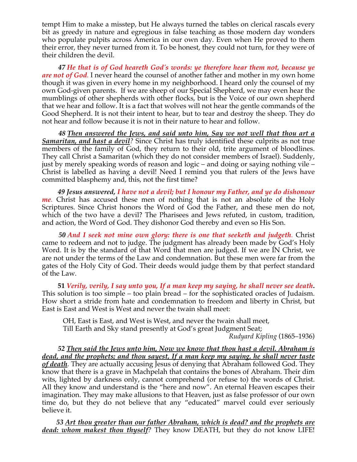tempt Him to make a misstep, but He always turned the tables on clerical rascals every bit as greedy in nature and egregious in false teaching as those modern day wonders who populate pulpits across America in our own day. Even when He proved to them their error, they never turned from it. To be honest, they could not turn, for they were of their children the devil.

 *47 He that is of God heareth God's words: ye therefore hear them not, because ye are not of God.* I never heard the counsel of another father and mother in my own home though it was given in every home in my neighborhood. I heard only the counsel of my own God-given parents. If we are sheep of our Special Shepherd, we may even hear the mumblings of other shepherds with other flocks, but is the Voice of our own shepherd that we hear and follow. It is a fact that wolves will not hear the gentle commands of the Good Shepherd. It is not their intent to hear, but to tear and destroy the sheep. They do not hear and follow because it is not in their nature to hear and follow.

 *48 Then answered the Jews, and said unto him, Say we not well that thou art a Samaritan, and hast a devil?* Since Christ has truly identified these culprits as not true members of the family of God, they return to their old, trite argument of bloodlines. They call Christ a Samaritan (which they do not consider members of Israel). Suddenly, just by merely speaking words of reason and logic – and doing or saying nothing vile – Christ is labelled as having a devil! Need I remind you that rulers of the Jews have committed blasphemy and, this, not the first time?

 *49 Jesus answered, I have not a devil; but I honour my Father, and ye do dishonour me.* Christ has accused these men of nothing that is not an absolute of the Holy Scriptures. Since Christ honors the Word of God the Father, and these men do not, which of the two have a devil? The Pharisees and Jews refuted, in custom, tradition, and action, the Word of God. They dishonor God thereby and even so His Son.

 *50 And I seek not mine own glory: there is one that seeketh and judgeth.* Christ came to redeem and not to judge. The judgment has already been made by God's Holy Word. It is by the standard of that Word that men are judged. If we are IN Christ, we are not under the terms of the Law and condemnation. But these men were far from the gates of the Holy City of God. Their deeds would judge them by that perfect standard of the Law.

 **51** *Verily, verily, I say unto you, If a man keep my saying, he shall never see death***.** This solution is too simple – too plain bread – for the sophisticated oracles of Judaism. How short a stride from hate and condemnation to freedom and liberty in Christ, but East is East and West is West and never the twain shall meet:

OH, East is East, and West is West, and never the twain shall meet, Till Earth and Sky stand presently at God's great Judgment Seat;

*Rudyard Kipling* (1865–1936)

 *52 Then said the Jews unto him, Now we know that thou hast a devil. Abraham is dead, and the prophets; and thou sayest, If a man keep my saying, he shall never taste of death.* They are actually accusing Jesus of denying that Abraham followed God. They know that there is a grave in Machpelah that contains the bones of Abraham. Their dim wits, lighted by darkness only, cannot comprehend (or refuse to) the words of Christ. All they know and understand is the "here and now". An eternal Heaven escapes their imagination. They may make allusions to that Heaven, just as false professor of our own time do, but they do not believe that any "educated" marvel could ever seriously believe it.

 *53 Art thou greater than our father Abraham, which is dead? and the prophets are dead: whom makest thou thyself?* They know DEATH, but they do not know LIFE!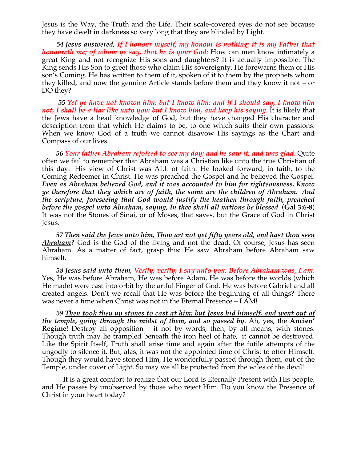Jesus is the Way, the Truth and the Life. Their scale-covered eyes do not see because they have dwelt in darkness so very long that they are blinded by Light.

 *54 Jesus answered, If I honour myself, my honour is nothing: it is my Father that honoureth me; of whom ye say, that he is your God:* How can men know intimately a great King and not recognize His sons and daughters? It is actually impossible. The King sends His Son to greet those who claim His sovereignty. He forewarns them of His son's Coming. He has written to them of it, spoken of it to them by the prophets whom they killed, and now the genuine Article stands before them and they know it not – or DO they?

 *55 Yet ye have not known him; but I know him: and if I should say, I know him not, I shall be a liar like unto you: but I know him, and keep his saying.* It is likely that the Jews have a head knowledge of God, but they have changed His character and description from that which He claims to be, to one which suits their own passions. When we know God of a truth we cannot disavow His sayings as the Chart and Compass of our lives.

 *56 Your father Abraham rejoiced to see my day: and he saw it, and was glad.* Quite often we fail to remember that Abraham was a Christian like unto the true Christian of this day. His view of Christ was ALL of faith. He looked forward, in faith, to the Coming Redeemer in Christ. He was preached the Gospel and he believed the Gospel. *Even as Abraham believed God, and it was accounted to him for righteousness. Know ye therefore that they which are of faith, the same are the children of Abraham. And the scripture, foreseeing that God would justify the heathen through faith, preached before the gospel unto Abraham, saying, In thee shall all nations be blessed*. (**Gal 3:6-8**) It was not the Stones of Sinai, or of Moses, that saves, but the Grace of God in Christ Jesus.

 *57 Then said the Jews unto him, Thou art not yet fifty years old, and hast thou seen Abraham?* God is the God of the living and not the dead. Of course, Jesus has seen Abraham. As a matter of fact, grasp this: He saw Abraham before Abraham saw himself.

 *58 Jesus said unto them, Verily, verily, I say unto you, Before Abraham was, I am.* Yes, He was before Abraham, He was before Adam, He was before the worlds (which He made) were cast into orbit by the artful Finger of God. He was before Gabriel and all created angels. Don't we recall that He was before the beginning of all things? There was never a time when Christ was not in the Eternal Presence – I AM!

 *59 Then took they up stones to cast at him: but Jesus hid himself, and went out of the temple, going through the midst of them, and so passed by*. Ah, yes, the **Ancien' Regime**! Destroy all opposition – if not by words, then, by all means, with stones. Though truth may lie trampled beneath the iron heel of hate, it cannot be destroyed. Like the Spirit Itself, Truth shall arise time and again after the futile attempts of the ungodly to silence it. But, alas, it was not the appointed time of Christ to offer Himself. Though they would have stoned Him, He wonderfully passed through them, out of the Temple, under cover of Light. So may we all be protected from the wiles of the devil!

 It is a great comfort to realize that our Lord is Eternally Present with His people, and He passes by unobserved by those who reject Him. Do you know the Presence of Christ in your heart today?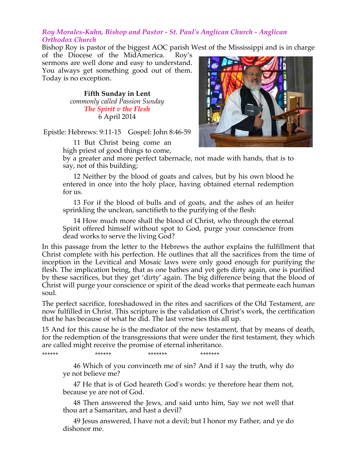#### *Roy Morales-Kuhn, Bishop and Pastor - St. Paul's Anglican Church - Anglican Orthodox Church*

Bishop Roy is pastor of the biggest AOC parish West of the Mississippi and is in charge

of the Diocese of the MidAmerica. Roy's sermons are well done and easy to understand. You always get something good out of them. Today is no exception.

> **Fifth Sunday in Lent** *commonly called Passion Sunday The Spirit v the Flesh* 6 April 2014

Epistle: Hebrews: 9:11-15 Gospel: John 8:46-59

11 But Christ being come an high priest of good things to come,



by a greater and more perfect tabernacle, not made with hands, that is to say, not of this building;

12 Neither by the blood of goats and calves, but by his own blood he entered in once into the holy place, having obtained eternal redemption for us.

13 For if the blood of bulls and of goats, and the ashes of an heifer sprinkling the unclean, sanctifieth to the purifying of the flesh:

14 How much more shall the blood of Christ, who through the eternal Spirit offered himself without spot to God, purge your conscience from dead works to serve the living God?

In this passage from the letter to the Hebrews the author explains the fulfillment that Christ complete with his perfection. He outlines that all the sacrifices from the time of inception in the Levitical and Mosaic laws were only good enough for purifying the flesh. The implication being, that as one bathes and yet gets dirty again, one is purified by these sacrifices, but they get 'dirty' again. The big difference being that the blood of Christ will purge your conscience or spirit of the dead works that permeate each human soul.

The perfect sacrifice, foreshadowed in the rites and sacrifices of the Old Testament, are now fulfilled in Christ. This scripture is the validation of Christ's work, the certification that he has because of what he did. The last verse ties this all up.

15 And for this cause he is the mediator of the new testament, that by means of death, for the redemption of the transgressions that were under the first testament, they which are called might receive the promise of eternal inheritance.

\*\*\*\*\*\* \*\*\*\*\*\* \*\*\*\*\*\*\* \*\*\*\*\*\*\*

46 Which of you convinceth me of sin? And if I say the truth, why do ye not believe me?

47 He that is of God heareth God's words: ye therefore hear them not, because ye are not of God.

48 Then answered the Jews, and said unto him, Say we not well that thou art a Samaritan, and hast a devil?

49 Jesus answered, I have not a devil; but I honor my Father, and ye do dishonor me.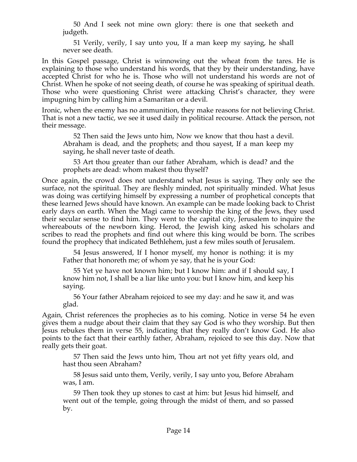50 And I seek not mine own glory: there is one that seeketh and judgeth.

51 Verily, verily, I say unto you, If a man keep my saying, he shall never see death.

In this Gospel passage, Christ is winnowing out the wheat from the tares. He is explaining to those who understand his words, that they by their understanding, have accepted Christ for who he is. Those who will not understand his words are not of Christ. When he spoke of not seeing death, of course he was speaking of spiritual death. Those who were questioning Christ were attacking Christ's character, they were impugning him by calling him a Samaritan or a devil.

Ironic, when the enemy has no ammunition, they make reasons for not believing Christ. That is not a new tactic, we see it used daily in political recourse. Attack the person, not their message.

52 Then said the Jews unto him, Now we know that thou hast a devil. Abraham is dead, and the prophets; and thou sayest, If a man keep my saying, he shall never taste of death.

53 Art thou greater than our father Abraham, which is dead? and the prophets are dead: whom makest thou thyself?

Once again, the crowd does not understand what Jesus is saying. They only see the surface, not the spiritual. They are fleshly minded, not spiritually minded. What Jesus was doing was certifying himself by expressing a number of prophetical concepts that these learned Jews should have known. An example can be made looking back to Christ early days on earth. When the Magi came to worship the king of the Jews, they used their secular sense to find him. They went to the capital city, Jerusalem to inquire the whereabouts of the newborn king. Herod, the Jewish king asked his scholars and scribes to read the prophets and find out where this king would be born. The scribes found the prophecy that indicated Bethlehem, just a few miles south of Jerusalem.

54 Jesus answered, If I honor myself, my honor is nothing: it is my Father that honoreth me; of whom ye say, that he is your God:

55 Yet ye have not known him; but I know him: and if I should say, I know him not, I shall be a liar like unto you: but I know him, and keep his saying.

56 Your father Abraham rejoiced to see my day: and he saw it, and was glad.

Again, Christ references the prophecies as to his coming. Notice in verse 54 he even gives them a nudge about their claim that they say God is who they worship. But then Jesus rebukes them in verse 55, indicating that they really don't know God. He also points to the fact that their earthly father, Abraham, rejoiced to see this day. Now that really gets their goat.

57 Then said the Jews unto him, Thou art not yet fifty years old, and hast thou seen Abraham?

58 Jesus said unto them, Verily, verily, I say unto you, Before Abraham was, I am.

59 Then took they up stones to cast at him: but Jesus hid himself, and went out of the temple, going through the midst of them, and so passed by.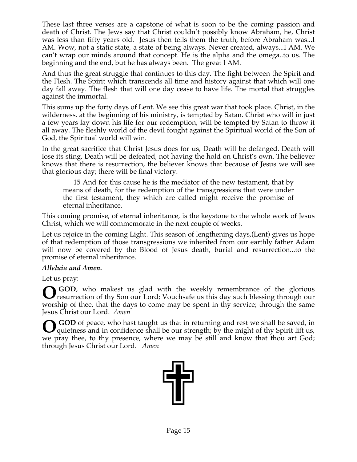These last three verses are a capstone of what is soon to be the coming passion and death of Christ. The Jews say that Christ couldn't possibly know Abraham, he, Christ was less than fifty years old. Jesus then tells them the truth, before Abraham was...I AM. Wow, not a static state, a state of being always. Never created, always...I AM. We can't wrap our minds around that concept. He is the alpha and the omega..to us. The beginning and the end, but he has always been. The great I AM.

And thus the great struggle that continues to this day. The fight between the Spirit and the Flesh. The Spirit which transcends all time and history against that which will one day fall away. The flesh that will one day cease to have life. The mortal that struggles against the immortal.

This sums up the forty days of Lent. We see this great war that took place. Christ, in the wilderness, at the beginning of his ministry, is tempted by Satan. Christ who will in just a few years lay down his life for our redemption, will be tempted by Satan to throw it all away. The fleshly world of the devil fought against the Spiritual world of the Son of God, the Spiritual world will win.

In the great sacrifice that Christ Jesus does for us, Death will be defanged. Death will lose its sting, Death will be defeated, not having the hold on Christ's own. The believer knows that there is resurrection, the believer knows that because of Jesus we will see that glorious day; there will be final victory.

15 And for this cause he is the mediator of the new testament, that by means of death, for the redemption of the transgressions that were under the first testament, they which are called might receive the promise of eternal inheritance.

This coming promise, of eternal inheritance, is the keystone to the whole work of Jesus Christ, which we will commemorate in the next couple of weeks.

Let us rejoice in the coming Light. This season of lengthening days,(Lent) gives us hope of that redemption of those transgressions we inherited from our earthly father Adam will now be covered by the Blood of Jesus death, burial and resurrection...to the promise of eternal inheritance.

# *Alleluia and Amen.*

Let us pray:

**GOD**, who makest us glad with the weekly remembrance of the glorious **P** resurrection of thy Son our Lord; Vouchsafe us this day such blessing through our worship of thee, that the days to come may be spent in thy service; through the same Jesus Christ our Lord. *Amen* **O**

**GOD** of peace, who hast taught us that in returning and rest we shall be saved, in quietness and in confidence shall be our strength; by the might of thy Spirit lift us, we pray thee, to thy presence, where we may be still and know that thou art God; through Jesus Christ our Lord. *Amen* **O**

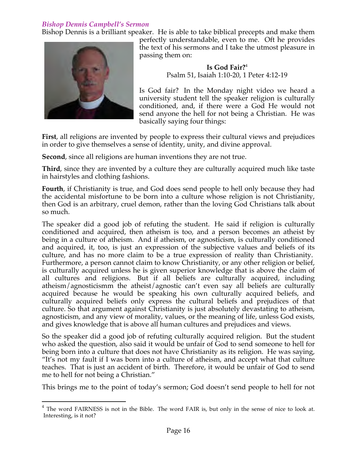# *Bishop Dennis Campbell's Sermon*

Bishop Dennis is a brilliant speaker. He is able to take biblical precepts and make them



perfectly understandable, even to me. Oft he provides the text of his sermons and I take the utmost pleasure in passing them on:

> **Is God Fair?**<sup>4</sup> Psalm 51, Isaiah 1:10-20, 1 Peter 4:12-19

Is God fair? In the Monday night video we heard a university student tell the speaker religion is culturally conditioned, and, if there were a God He would not send anyone the hell for not being a Christian. He was basically saying four things:

**First**, all religions are invented by people to express their cultural views and prejudices in order to give themselves a sense of identity, unity, and divine approval.

**Second**, since all religions are human inventions they are not true.

**Third**, since they are invented by a culture they are culturally acquired much like taste in hairstyles and clothing fashions.

**Fourth**, if Christianity is true, and God does send people to hell only because they had the accidental misfortune to be born into a culture whose religion is not Christianity, then God is an arbitrary, cruel demon, rather than the loving God Christians talk about so much.

The speaker did a good job of refuting the student. He said if religion is culturally conditioned and acquired, then atheism is too, and a person becomes an atheist by being in a culture of atheism. And if atheism, or agnosticism, is culturally conditioned and acquired, it, too, is just an expression of the subjective values and beliefs of its culture, and has no more claim to be a true expression of reality than Christianity. Furthermore, a person cannot claim to know Christianity, or any other religion or belief, is culturally acquired unless he is given superior knowledge that is above the claim of all cultures and religions. But if all beliefs are culturally acquired, including atheism/agnosticismm the atheist/agnostic can't even say all beliefs are culturally acquired because he would be speaking his own culturally acquired beliefs, and culturally acquired beliefs only express the cultural beliefs and prejudices of that culture. So that argument against Christianity is just absolutely devastating to atheism, agnosticism, and any view of morality, values, or the meaning of life, unless God exists, and gives knowledge that is above all human cultures and prejudices and views.

So the speaker did a good job of refuting culturally acquired religion. But the student who asked the question, also said it would be unfair of God to send someone to hell for being born into a culture that does not have Christianity as its religion. He was saying, "It's not my fault if I was born into a culture of atheism, and accept what that culture teaches. That is just an accident of birth. Therefore, it would be unfair of God to send me to hell for not being a Christian."

This brings me to the point of today's sermon; God doesn't send people to hell for not

 $4$  The word FAIRNESS is not in the Bible. The word FAIR is, but only in the sense of nice to look at. Interesting, is it not?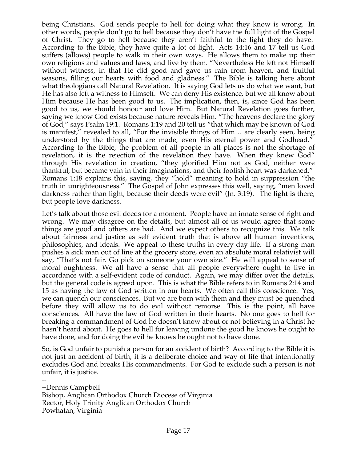being Christians. God sends people to hell for doing what they know is wrong. In other words, people don't go to hell because they don't have the full light of the Gospel of Christ. They go to hell because they aren't faithful to the light they do have. According to the Bible, they have quite a lot of light. Acts 14:16 and 17 tell us God suffers (allows) people to walk in their own ways. He allows them to make up their own religions and values and laws, and live by them. "Nevertheless He left not Himself without witness, in that He did good and gave us rain from heaven, and fruitful seasons, filling our hearts with food and gladness." The Bible is talking here about what theologians call Natural Revelation. It is saying God lets us do what we want, but He has also left a witness to Himself. We can deny His existence, but we all know about Him because He has been good to us. The implication, then, is, since God has been good to us, we should honour and love Him. But Natural Revelation goes further, saying we know God exists because nature reveals Him. "The heavens declare the glory of God," says Psalm 19:1. Romans 1:19 and 20 tell us "that which may be known of God is manifest," revealed to all, "For the invisible things of Him… are clearly seen, being understood by the things that are made, even His eternal power and Godhead." According to the Bible, the problem of all people in all places is not the shortage of revelation, it is the rejection of the revelation they have. When they knew God" through His revelation in creation, "they glorified Him not as God, neither were thankful, but became vain in their imaginations, and their foolish heart was darkened." Romans 1:18 explains this, saying, they "hold" meaning to hold in suppression "the truth in unrighteousness." The Gospel of John expresses this well, saying, "men loved darkness rather than light, because their deeds were evil" (Jn. 3:19). The light is there, but people love darkness.

Let's talk about those evil deeds for a moment. People have an innate sense of right and wrong. We may disagree on the details, but almost all of us would agree that some things are good and others are bad. And we expect others to recognize this. We talk about fairness and justice as self evident truth that is above all human inventions, philosophies, and ideals. We appeal to these truths in every day life. If a strong man pushes a sick man out of line at the grocery store, even an absolute moral relativist will say, "That's not fair. Go pick on someone your own size." He will appeal to sense of moral oughtness. We all have a sense that all people everywhere ought to live in accordance with a self-evident code of conduct. Again, we may differ over the details, but the general code is agreed upon. This is what the Bible refers to in Romans 2:14 and 15 as having the law of God written in our hearts. We often call this conscience. Yes, we can quench our consciences. But we are born with them and they must be quenched before they will allow us to do evil without remorse. This is the point, all have consciences. All have the law of God written in their hearts. No one goes to hell for breaking a commandment of God he doesn't know about or not believing in a Christ he hasn't heard about. He goes to hell for leaving undone the good he knows he ought to have done, and for doing the evil he knows he ought not to have done.

So, is God unfair to punish a person for an accident of birth? According to the Bible it is not just an accident of birth, it is a deliberate choice and way of life that intentionally excludes God and breaks His commandments. For God to exclude such a person is not unfair, it is justice.

-- +Dennis Campbell Bishop, Anglican Orthodox Church Diocese of Virginia Rector, Holy Trinity Anglican Orthodox Church Powhatan, Virginia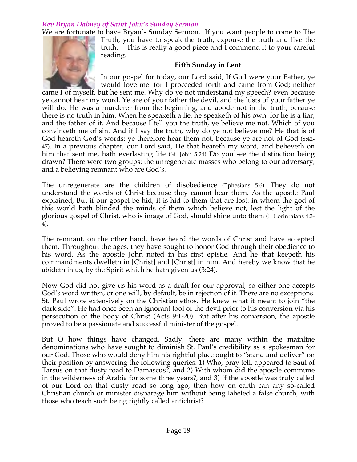# *Rev Bryan Dabney of Saint John's Sunday Sermon*

We are fortunate to have Bryan's Sunday Sermon. If you want people to come to The Truth, you have to speak the truth, expouse the truth and live the truth. This is really a good piece and I commend it to your careful reading.

#### **Fifth Sunday in Lent**

In our gospel for today, our Lord said, If God were your Father, ye would love me: for I proceeded forth and came from God; neither

came I of myself, but he sent me. Why do ye not understand my speech? even because ye cannot hear my word. Ye are of your father the devil, and the lusts of your father ye will do. He was a murderer from the beginning, and abode not in the truth, because there is no truth in him. When he speaketh a lie, he speaketh of his own: for he is a liar, and the father of it. And because I tell you the truth, ye believe me not. Which of you convinceth me of sin. And if I say the truth, why do ye not believe me? He that is of God heareth God's words: ye therefore hear them not, because ye are not of God (8:42- 47). In a previous chapter, our Lord said, He that heareth my word, and believeth on him that sent me, hath everlasting life (St. John 5:24) Do you see the distinction being drawn? There were two groups: the unregenerate masses who belong to our adversary, and a believing remnant who are God's.

The unregenerate are the children of disobedience (Ephesians 5:6). They do not understand the words of Christ because they cannot hear them. As the apostle Paul explained, But if our gospel be hid, it is hid to them that are lost: in whom the god of this world hath blinded the minds of them which believe not, lest the light of the glorious gospel of Christ, who is image of God, should shine unto them (II Corinthians 4:3- 4).

The remnant, on the other hand, have heard the words of Christ and have accepted them. Throughout the ages, they have sought to honor God through their obedience to his word. As the apostle John noted in his first epistle, And he that keepeth his commandments dwelleth in [Christ] and [Christ] in him. And hereby we know that he abideth in us, by the Spirit which he hath given us (3:24).

Now God did not give us his word as a draft for our approval, so either one accepts God's word written, or one will, by default, be in rejection of it. There are no exceptions. St. Paul wrote extensively on the Christian ethos. He knew what it meant to join "the dark side". He had once been an ignorant tool of the devil prior to his conversion via his persecution of the body of Christ (Acts 9:1-20). But after his conversion, the apostle proved to be a passionate and successful minister of the gospel.

But O how things have changed. Sadly, there are many within the mainline denominations who have sought to diminish St. Paul's credibility as a spokesman for our God. Those who would deny him his rightful place ought to "stand and deliver" on their position by answering the following queries: 1) Who, pray tell, appeared to Saul of Tarsus on that dusty road to Damascus?, and 2) With whom did the apostle commune in the wilderness of Arabia for some three years?, and 3) If the apostle was truly called of our Lord on that dusty road so long ago, then how on earth can any so-called Christian church or minister disparage him without being labeled a false church, with those who teach such being rightly called antichrist?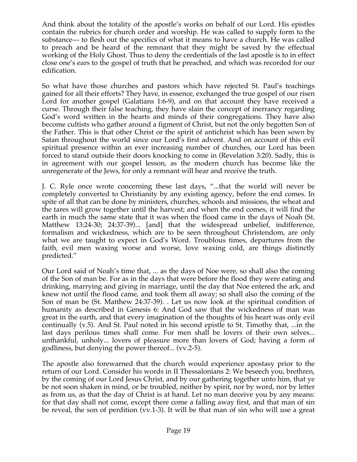And think about the totality of the apostle's works on behalf of our Lord. His epistles contain the rubrics for church order and worship. He was called to supply form to the substance— to flesh out the specifics of what it means to have a church. He was called to preach and be heard of the remnant that they might be saved by the effectual working of the Holy Ghost. Thus to deny the credentials of the last apostle is to in effect close one's ears to the gospel of truth that he preached, and which was recorded for our edification.

So what have those churches and pastors which have rejected St. Paul's teachings gained for all their efforts? They have, in essence, exchanged the true gospel of our risen Lord for another gospel (Galatians 1:6-9), and on that account they have received a curse. Through their false teaching, they have slain the concept of inerrancy regarding God's word written in the hearts and minds of their congregations. They have also become cultists who gather around a figment of Christ, but not the only begotten Son of the Father. This is that other Christ or the spirit of antichrist which has been sown by Satan throughout the world since our Lord's first advent. And on account of this evil spiritual presence within an ever increasing number of churches, our Lord has been forced to stand outside their doors knocking to come in (Revelation 3:20). Sadly, this is in agreement with our gospel lesson, as the modern church has become like the unregenerate of the Jews, for only a remnant will hear and receive the truth.

J. C. Ryle once wrote concerning these last days, "...that the world will never be completely converted to Christianity by any existing agency, before the end comes. In spite of all that can be done by ministers, churches, schools and missions, the wheat and the tares will grow together until the harvest; and when the end comes, it will find the earth in much the same state that it was when the flood came in the days of Noah (St. Matthew 13:24-30; 24:37-39)... [and] that the widespread unbelief, indifference, formalism and wickedness, which are to be seen throughout Christendom, are only what we are taught to expect in God's Word. Troublous times, departures from the faith, evil men waxing worse and worse, love waxing cold, are things distinctly predicted."

Our Lord said of Noah's time that, ... as the days of Noe were, so shall also the coming of the Son of man be. For as in the days that were before the flood they were eating and drinking, marrying and giving in marriage, until the day that Noe entered the ark, and knew not until the flood came, and took them all away; so shall also the coming of the Son of man be (St. Matthew 24:37-39). . Let us now look at the spiritual condition of humanity as described in Genesis 6: And God saw that the wickedness of man was great in the earth, and that every imagination of the thoughts of his heart was only evil continually (v.5). And St. Paul noted in his second epistle to St. Timothy that, ...in the last days perilous times shall come. For men shall be lovers of their own selves... unthankful, unholy... lovers of pleasure more than lovers of God; having a form of godliness, but denying the power thereof... (vv.2-5).

The apostle also forewarned that the church would experience apostasy prior to the return of our Lord. Consider his words in II Thessalonians 2: We beseech you, brethren, by the coming of our Lord Jesus Christ, and by our gathering together unto him, that ye be not soon shaken in mind, or be troubled, neither by spirit, nor by word, nor by letter as from us, as that the day of Christ is at hand. Let no man deceive you by any means: for that day shall not come, except there come a falling away first, and that man of sin be reveal, the son of perdition (vv.1-3). It will be that man of sin who will use a great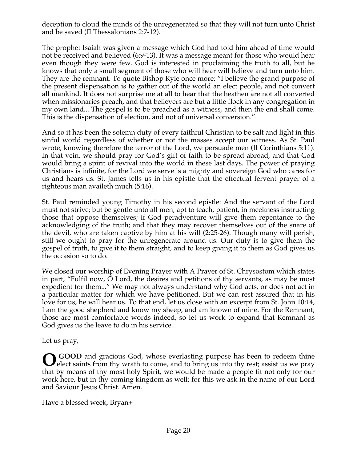deception to cloud the minds of the unregenerated so that they will not turn unto Christ and be saved (II Thessalonians 2:7-12).

The prophet Isaiah was given a message which God had told him ahead of time would not be received and believed (6:9-13). It was a message meant for those who would hear even though they were few. God is interested in proclaiming the truth to all, but he knows that only a small segment of those who will hear will believe and turn unto him. They are the remnant. To quote Bishop Ryle once more: "I believe the grand purpose of the present dispensation is to gather out of the world an elect people, and not convert all mankind. It does not surprise me at all to hear that the heathen are not all converted when missionaries preach, and that believers are but a little flock in any congregation in my own land... The gospel is to be preached as a witness, and then the end shall come. This is the dispensation of election, and not of universal conversion."

And so it has been the solemn duty of every faithful Christian to be salt and light in this sinful world regardless of whether or not the masses accept our witness. As St. Paul wrote, knowing therefore the terror of the Lord, we persuade men (II Corinthians 5:11). In that vein, we should pray for God's gift of faith to be spread abroad, and that God would bring a spirit of revival into the world in these last days. The power of praying Christians is infinite, for the Lord we serve is a mighty and sovereign God who cares for us and hears us. St. James tells us in his epistle that the effectual fervent prayer of a righteous man availeth much (5:16).

St. Paul reminded young Timothy in his second epistle: And the servant of the Lord must not strive; but be gentle unto all men, apt to teach, patient, in meekness instructing those that oppose themselves; if God peradventure will give them repentance to the acknowledging of the truth; and that they may recover themselves out of the snare of the devil, who are taken captive by him at his will (2:25-26). Though many will perish, still we ought to pray for the unregenerate around us. Our duty is to give them the gospel of truth, to give it to them straight, and to keep giving it to them as God gives us the occasion so to do.

We closed our worship of Evening Prayer with A Prayer of St. Chrysostom which states in part, "Fulfil now, O Lord, the desires and petitions of thy servants, as may be most expedient for them..." We may not always understand why God acts, or does not act in a particular matter for which we have petitioned. But we can rest assured that in his love for us, he will hear us. To that end, let us close with an excerpt from St. John 10:14, I am the good shepherd and know my sheep, and am known of mine. For the Remnant, those are most comfortable words indeed, so let us work to expand that Remnant as God gives us the leave to do in his service.

Let us pray,

**GOOD** and gracious God, whose everlasting purpose has been to redeem thine **O** GOOD and gracious God, whose everlasting purpose has been to redeem thine elect saints from thy wrath to come, and to bring us into thy rest; assist us we pray that by means of thy most holy Spirit, we would be made a people fit not only for our work here, but in thy coming kingdom as well; for this we ask in the name of our Lord and Saviour Jesus Christ. Amen.

Have a blessed week, Bryan+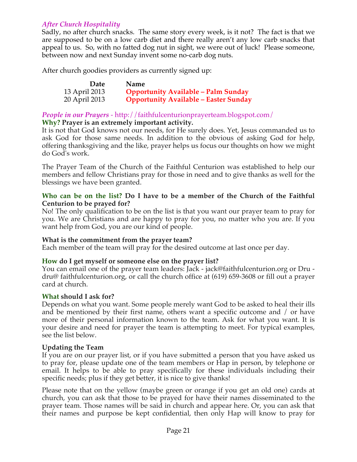# *After Church Hospitality*

Sadly, no after church snacks. The same story every week, is it not? The fact is that we are supposed to be on a low carb diet and there really aren't any low carb snacks that appeal to us. So, with no fatted dog nut in sight, we were out of luck! Please someone, between now and next Sunday invent some no-carb dog nuts.

After church goodies providers as currently signed up:

| Date          | <b>Name</b>                                  |
|---------------|----------------------------------------------|
| 13 April 2013 | <b>Opportunity Available - Palm Sunday</b>   |
| 20 April 2013 | <b>Opportunity Available - Easter Sunday</b> |

#### *People in our Prayers* - http://faithfulcenturionprayerteam.blogspot.com/ **Why? Prayer is an extremely important activity.**

It is not that God knows not our needs, for He surely does. Yet, Jesus commanded us to ask God for those same needs. In addition to the obvious of asking God for help, offering thanksgiving and the like, prayer helps us focus our thoughts on how we might do God's work.

The Prayer Team of the Church of the Faithful Centurion was established to help our members and fellow Christians pray for those in need and to give thanks as well for the blessings we have been granted.

#### **Who can be on the list? Do I have to be a member of the Church of the Faithful Centurion to be prayed for?**

No! The only qualification to be on the list is that you want our prayer team to pray for you. We are Christians and are happy to pray for you, no matter who you are. If you want help from God, you are our kind of people.

# **What is the commitment from the prayer team?**

Each member of the team will pray for the desired outcome at last once per day.

# **How do I get myself or someone else on the prayer list?**

You can email one of the prayer team leaders: Jack - jack@faithfulcenturion.org or Dru dru@ faithfulcenturion.org, or call the church office at (619) 659-3608 or fill out a prayer card at church.

# **What should I ask for?**

Depends on what you want. Some people merely want God to be asked to heal their ills and be mentioned by their first name, others want a specific outcome and / or have more of their personal information known to the team. Ask for what you want. It is your desire and need for prayer the team is attempting to meet. For typical examples, see the list below.

# **Updating the Team**

If you are on our prayer list, or if you have submitted a person that you have asked us to pray for, please update one of the team members or Hap in person, by telephone or email. It helps to be able to pray specifically for these individuals including their specific needs; plus if they get better, it is nice to give thanks!

Please note that on the yellow (maybe green or orange if you get an old one) cards at church, you can ask that those to be prayed for have their names disseminated to the prayer team. Those names will be said in church and appear here. Or, you can ask that their names and purpose be kept confidential, then only Hap will know to pray for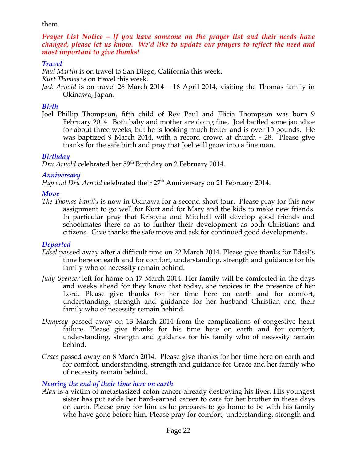them.

*Prayer List Notice – If you have someone on the prayer list and their needs have changed, please let us know. We'd like to update our prayers to reflect the need and most important to give thanks!*

# *Travel*

*Paul Martin* is on travel to San Diego, California this week.

*Kurt Thomas* is on travel this week.

*Jack Arnold* is on travel 26 March 2014 – 16 April 2014, visiting the Thomas family in Okinawa, Japan.

# *Birth*

Joel Phillip Thompson, fifth child of Rev Paul and Elicia Thompson was born 9 February 2014. Both baby and mother are doing fine. Joel battled some jaundice for about three weeks, but he is looking much better and is over 10 pounds. He was baptized 9 March 2014, with a record crowd at church - 28. Please give thanks for the safe birth and pray that Joel will grow into a fine man.

# *Birthday*

*Dru Arnold* celebrated her 59<sup>th</sup> Birthday on 2 February 2014.

# *Anniversary*

*Hap and Dru Arnold* celebrated their 27<sup>th</sup> Anniversary on 21 February 2014.

# *Move*

*The Thomas Family* is now in Okinawa for a second short tour. Please pray for this new assignment to go well for Kurt and for Mary and the kids to make new friends. In particular pray that Kristyna and Mitchell will develop good friends and schoolmates there so as to further their development as both Christians and citizens. Give thanks the safe move and ask for continued good developments.

# *Departed*

- *Edsel* passed away after a difficult time on 22 March 2014. Please give thanks for Edsel's time here on earth and for comfort, understanding, strength and guidance for his family who of necessity remain behind.
- *Judy Spencer* left for home on 17 March 2014. Her family will be comforted in the days and weeks ahead for they know that today, she rejoices in the presence of her Lord. Please give thanks for her time here on earth and for comfort, understanding, strength and guidance for her husband Christian and their family who of necessity remain behind.
- *Dempsey* passed away on 13 March 2014 from the complications of congestive heart failure. Please give thanks for his time here on earth and for comfort, understanding, strength and guidance for his family who of necessity remain behind.
- *Grace* passed away on 8 March 2014. Please give thanks for her time here on earth and for comfort, understanding, strength and guidance for Grace and her family who of necessity remain behind.

# *Nearing the end of their time here on earth*

*Alan* is a victim of metastasized colon cancer already destroying his liver. His youngest sister has put aside her hard-earned career to care for her brother in these days on earth. Please pray for him as he prepares to go home to be with his family who have gone before him. Please pray for comfort, understanding, strength and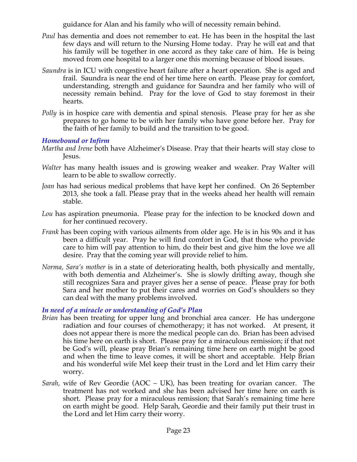guidance for Alan and his family who will of necessity remain behind.

- *Paul* has dementia and does not remember to eat. He has been in the hospital the last few days and will return to the Nursing Home today. Pray he will eat and that his family will be together in one accord as they take care of him. He is being moved from one hospital to a larger one this morning because of blood issues.
- *Saundra* is in ICU with congestive heart failure after a heart operation. She is aged and frail. Saundra is near the end of her time here on earth. Please pray for comfort, understanding, strength and guidance for Saundra and her family who will of necessity remain behind. Pray for the love of God to stay foremost in their hearts.
- *Polly* is in hospice care with dementia and spinal stenosis. Please pray for her as she prepares to go home to be with her family who have gone before her. Pray for the faith of her family to build and the transition to be good.

# *Homebound or Infirm*

- *Martha and Irene* both have Alzheimer's Disease. Pray that their hearts will stay close to Jesus.
- *Walter* has many health issues and is growing weaker and weaker. Pray Walter will learn to be able to swallow correctly.
- *Joan* has had serious medical problems that have kept her confined. On 26 September 2013, she took a fall. Please pray that in the weeks ahead her health will remain stable.
- *Lou* has aspiration pneumonia. Please pray for the infection to be knocked down and for her continued recovery.
- *Frank* has been coping with various ailments from older age. He is in his 90s and it has been a difficult year. Pray he will find comfort in God, that those who provide care to him will pay attention to him, do their best and give him the love we all desire. Pray that the coming year will provide relief to him.
- *Norma, Sara's mother* is in a state of deteriorating health, both physically and mentally, with both dementia and Alzheimer's. She is slowly drifting away, though she still recognizes Sara and prayer gives her a sense of peace. Please pray for both Sara and her mother to put their cares and worries on God's shoulders so they can deal with the many problems involved.

# *In need of a miracle or understanding of God's Plan*

- *Brian* has been treating for upper lung and bronchial area cancer. He has undergone radiation and four courses of chemotherapy; it has not worked. At present, it does not appear there is more the medical people can do. Brian has been advised his time here on earth is short. Please pray for a miraculous remission; if that not be God's will, please pray Brian's remaining time here on earth might be good and when the time to leave comes, it will be short and acceptable. Help Brian and his wonderful wife Mel keep their trust in the Lord and let Him carry their worry.
- *Sarah,* wife of Rev Geordie (AOC UK), has been treating for ovarian cancer. The treatment has not worked and she has been advised her time here on earth is short. Please pray for a miraculous remission; that Sarah's remaining time here on earth might be good. Help Sarah, Geordie and their family put their trust in the Lord and let Him carry their worry.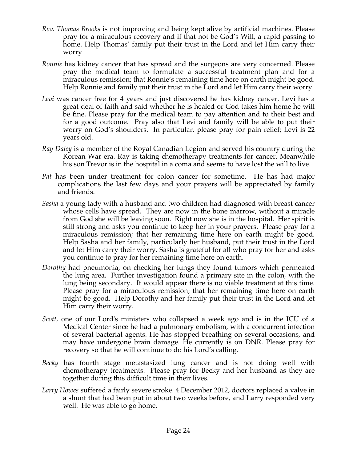- *Rev. Thomas Brooks* is not improving and being kept alive by artificial machines. Please pray for a miraculous recovery and if that not be God's Will, a rapid passing to home. Help Thomas' family put their trust in the Lord and let Him carry their worry
- *Ronnie* has kidney cancer that has spread and the surgeons are very concerned. Please pray the medical team to formulate a successful treatment plan and for a miraculous remission; that Ronnie's remaining time here on earth might be good. Help Ronnie and family put their trust in the Lord and let Him carry their worry.
- Levi was cancer free for 4 years and just discovered he has kidney cancer. Levi has a great deal of faith and said whether he is healed or God takes him home he will be fine. Please pray for the medical team to pay attention and to their best and for a good outcome. Pray also that Levi and family will be able to put their worry on God's shoulders. In particular, please pray for pain relief; Levi is 22 years old.
- *Ray Daley* is a member of the Royal Canadian Legion and served his country during the Korean War era. Ray is taking chemotherapy treatments for cancer. Meanwhile his son Trevor is in the hospital in a coma and seems to have lost the will to live.
- *Pat* has been under treatment for colon cancer for sometime. He has had major complications the last few days and your prayers will be appreciated by family and friends.
- *Sasha* a young lady with a husband and two children had diagnosed with breast cancer whose cells have spread. They are now in the bone marrow, without a miracle from God she will be leaving soon. Right now she is in the hospital. Her spirit is still strong and asks you continue to keep her in your prayers. Please pray for a miraculous remission; that her remaining time here on earth might be good. Help Sasha and her family, particularly her husband, put their trust in the Lord and let Him carry their worry. Sasha is grateful for all who pray for her and asks you continue to pray for her remaining time here on earth.
- *Dorothy* had pneumonia, on checking her lungs they found tumors which permeated the lung area. Further investigation found a primary site in the colon, with the lung being secondary. It would appear there is no viable treatment at this time. Please pray for a miraculous remission; that her remaining time here on earth might be good. Help Dorothy and her family put their trust in the Lord and let Him carry their worry.
- *Scott,* one of our Lord's ministers who collapsed a week ago and is in the ICU of a Medical Center since he had a pulmonary embolism, with a concurrent infection of several bacterial agents. He has stopped breathing on several occasions, and may have undergone brain damage. He currently is on DNR. Please pray for recovery so that he will continue to do his Lord's calling*.*
- *Becky* has fourth stage metastasized lung cancer and is not doing well with chemotherapy treatments. Please pray for Becky and her husband as they are together during this difficult time in their lives.
- *Larry Howes* suffered a fairly severe stroke. 4 December 2012, doctors replaced a valve in a shunt that had been put in about two weeks before, and Larry responded very well. He was able to go home.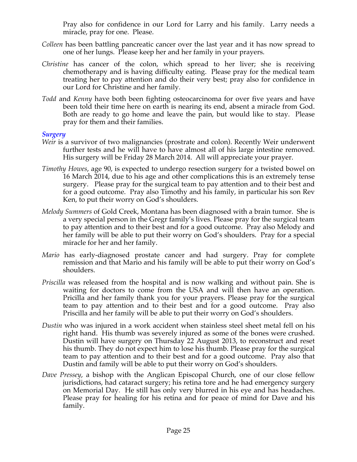Pray also for confidence in our Lord for Larry and his family. Larry needs a miracle, pray for one. Please.

- *Colleen* has been battling pancreatic cancer over the last year and it has now spread to one of her lungs. Please keep her and her family in your prayers.
- *Christine* has cancer of the colon, which spread to her liver; she is receiving chemotherapy and is having difficulty eating. Please pray for the medical team treating her to pay attention and do their very best; pray also for confidence in our Lord for Christine and her family.
- *Todd* and *Kenny* have both been fighting osteocarcinoma for over five years and have been told their time here on earth is nearing its end, absent a miracle from God. Both are ready to go home and leave the pain, but would like to stay. Please pray for them and their families.

# *Surgery*

- *Weir* is a survivor of two malignancies (prostrate and colon). Recently Weir underwent further tests and he will have to have almost all of his large intestine removed. His surgery will be Friday 28 March 2014. All will appreciate your prayer.
- *Timothy Howes*, age 90, is expected to undergo resection surgery for a twisted bowel on 16 March 2014, due to his age and other complications this is an extremely tense surgery. Please pray for the surgical team to pay attention and to their best and for a good outcome. Pray also Timothy and his family, in particular his son Rev Ken, to put their worry on God's shoulders.
- *Melody Summers* of Gold Creek, Montana has been diagnosed with a brain tumor. She is a very special person in the Gregr family's lives. Please pray for the surgical team to pay attention and to their best and for a good outcome. Pray also Melody and her family will be able to put their worry on God's shoulders. Pray for a special miracle for her and her family.
- *Mario* has early-diagnosed prostate cancer and had surgery. Pray for complete remission and that Mario and his family will be able to put their worry on God's shoulders.
- *Priscilla* was released from the hospital and is now walking and without pain. She is waiting for doctors to come from the USA and will then have an operation. Pricilla and her family thank you for your prayers. Please pray for the surgical team to pay attention and to their best and for a good outcome. Pray also Priscilla and her family will be able to put their worry on God's shoulders.
- *Dustin* who was injured in a work accident when stainless steel sheet metal fell on his right hand. His thumb was severely injured as some of the bones were crushed. Dustin will have surgery on Thursday 22 August 2013, to reconstruct and reset his thumb. They do not expect him to lose his thumb. Please pray for the surgical team to pay attention and to their best and for a good outcome. Pray also that Dustin and family will be able to put their worry on God's shoulders.
- *Dave Pressey*, a bishop with the Anglican Episcopal Church, one of our close fellow jurisdictions, had cataract surgery; his retina tore and he had emergency surgery on Memorial Day. He still has only very blurred in his eye and has headaches. Please pray for healing for his retina and for peace of mind for Dave and his family.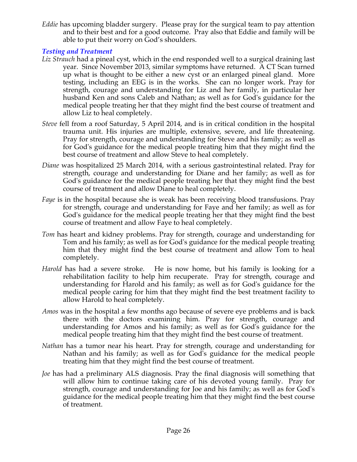*Eddie* has upcoming bladder surgery. Please pray for the surgical team to pay attention and to their best and for a good outcome. Pray also that Eddie and family will be able to put their worry on God's shoulders.

# *Testing and Treatment*

- *Liz Strauch* had a pineal cyst, which in the end responded well to a surgical draining last year. Since November 2013, similar symptoms have returned. A CT Scan turned up what is thought to be either a new cyst or an enlarged pineal gland. More testing, including an EEG is in the works. She can no longer work. Pray for strength, courage and understanding for Liz and her family, in particular her husband Ken and sons Caleb and Nathan; as well as for God's guidance for the medical people treating her that they might find the best course of treatment and allow Liz to heal completely.
- *Steve* fell from a roof Saturday, 5 April 2014, and is in critical condition in the hospital trauma unit. His injuries are multiple, extensive, severe, and life threatening. Pray for strength, courage and understanding for Steve and his family; as well as for God's guidance for the medical people treating him that they might find the best course of treatment and allow Steve to heal completely.
- *Diane* was hospitalized 25 March 2014, with a serious gastrointestinal related. Pray for strength, courage and understanding for Diane and her family; as well as for God's guidance for the medical people treating her that they might find the best course of treatment and allow Diane to heal completely.
- *Faye* is in the hospital because she is weak has been receiving blood transfusions. Pray for strength, courage and understanding for Faye and her family; as well as for God's guidance for the medical people treating her that they might find the best course of treatment and allow Faye to heal completely.
- *Tom* has heart and kidney problems. Pray for strength, courage and understanding for Tom and his family; as well as for God's guidance for the medical people treating him that they might find the best course of treatment and allow Tom to heal completely.
- *Harold* has had a severe stroke. He is now home, but his family is looking for a rehabilitation facility to help him recuperate. Pray for strength, courage and understanding for Harold and his family; as well as for God's guidance for the medical people caring for him that they might find the best treatment facility to allow Harold to heal completely.
- *Amos* was in the hospital a few months ago because of severe eye problems and is back there with the doctors examining him. Pray for strength, courage and understanding for Amos and his family; as well as for God's guidance for the medical people treating him that they might find the best course of treatment.
- *Nathan* has a tumor near his heart. Pray for strength, courage and understanding for Nathan and his family; as well as for God's guidance for the medical people treating him that they might find the best course of treatment.
- *Joe* has had a preliminary ALS diagnosis. Pray the final diagnosis will something that will allow him to continue taking care of his devoted young family. Pray for strength, courage and understanding for Joe and his family; as well as for God's guidance for the medical people treating him that they might find the best course of treatment.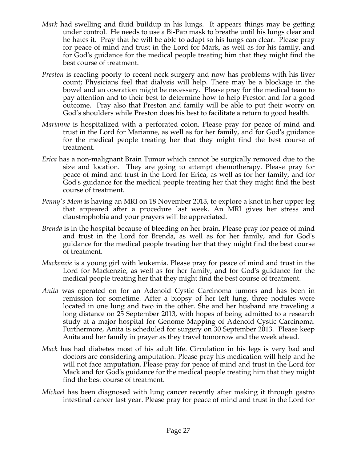- *Mark* had swelling and fluid buildup in his lungs. It appears things may be getting under control. He needs to use a Bi-Pap mask to breathe until his lungs clear and he hates it. Pray that he will be able to adapt so his lungs can clear. Please pray for peace of mind and trust in the Lord for Mark, as well as for his family, and for God's guidance for the medical people treating him that they might find the best course of treatment.
- *Preston* is reacting poorly to recent neck surgery and now has problems with his liver count; Physicians feel that dialysis will help. There may be a blockage in the bowel and an operation might be necessary. Please pray for the medical team to pay attention and to their best to determine how to help Preston and for a good outcome. Pray also that Preston and family will be able to put their worry on God's shoulders while Preston does his best to facilitate a return to good health.
- *Marianne* is hospitalized with a perforated colon. Please pray for peace of mind and trust in the Lord for Marianne, as well as for her family, and for God's guidance for the medical people treating her that they might find the best course of treatment.
- *Erica* has a non-malignant Brain Tumor which cannot be surgically removed due to the size and location. They are going to attempt chemotherapy. Please pray for peace of mind and trust in the Lord for Erica, as well as for her family, and for God's guidance for the medical people treating her that they might find the best course of treatment.
- *Penny's Mom is having an MRI on 18 November 2013, to explore a knot in her upper leg* that appeared after a procedure last week. An MRI gives her stress and claustrophobia and your prayers will be appreciated.
- *Brenda* is in the hospital because of bleeding on her brain. Please pray for peace of mind and trust in the Lord for Brenda, as well as for her family, and for God's guidance for the medical people treating her that they might find the best course of treatment.
- *Mackenzie* is a young girl with leukemia. Please pray for peace of mind and trust in the Lord for Mackenzie, as well as for her family, and for God's guidance for the medical people treating her that they might find the best course of treatment.
- *Anita* was operated on for an Adenoid Cystic Carcinoma tumors and has been in remission for sometime. After a biopsy of her left lung, three nodules were located in one lung and two in the other. She and her husband are traveling a long distance on 25 September 2013, with hopes of being admitted to a research study at a major hospital for Genome Mapping of Adenoid Cystic Carcinoma. Furthermore, Anita is scheduled for surgery on 30 September 2013. Please keep Anita and her family in prayer as they travel tomorrow and the week ahead.
- *Mack* has had diabetes most of his adult life. Circulation in his legs is very bad and doctors are considering amputation. Please pray his medication will help and he will not face amputation. Please pray for peace of mind and trust in the Lord for Mack and for God's guidance for the medical people treating him that they might find the best course of treatment.
- *Michael* has been diagnosed with lung cancer recently after making it through gastro intestinal cancer last year. Please pray for peace of mind and trust in the Lord for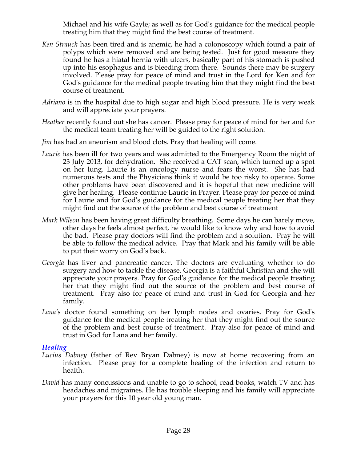Michael and his wife Gayle; as well as for God's guidance for the medical people treating him that they might find the best course of treatment.

- *Ken Strauch* has been tired and is anemic, he had a colonoscopy which found a pair of polyps which were removed and are being tested. Just for good measure they found he has a hiatal hernia with ulcers, basically part of his stomach is pushed up into his esophagus and is bleeding from there. Sounds there may be surgery involved. Please pray for peace of mind and trust in the Lord for Ken and for God's guidance for the medical people treating him that they might find the best course of treatment.
- *Adriano* is in the hospital due to high sugar and high blood pressure. He is very weak and will appreciate your prayers.
- *Heather* recently found out she has cancer. Please pray for peace of mind for her and for the medical team treating her will be guided to the right solution.
- *Jim* has had an aneurism and blood clots. Pray that healing will come.
- *Laurie* has been ill for two years and was admitted to the Emergency Room the night of 23 July 2013, for dehydration. She received a CAT scan, which turned up a spot on her lung. Laurie is an oncology nurse and fears the worst. She has had numerous tests and the Physicians think it would be too risky to operate. Some other problems have been discovered and it is hopeful that new medicine will give her healing. Please continue Laurie in Prayer. Please pray for peace of mind for Laurie and for God's guidance for the medical people treating her that they might find out the source of the problem and best course of treatment
- *Mark Wilson* has been having great difficulty breathing. Some days he can barely move, other days he feels almost perfect, he would like to know why and how to avoid the bad. Please pray doctors will find the problem and a solution. Pray he will be able to follow the medical advice. Pray that Mark and his family will be able to put their worry on God's back.
- *Georgia* has liver and pancreatic cancer. The doctors are evaluating whether to do surgery and how to tackle the disease. Georgia is a faithful Christian and she will appreciate your prayers. Pray for God's guidance for the medical people treating her that they might find out the source of the problem and best course of treatment. Pray also for peace of mind and trust in God for Georgia and her family.
- *Lana's* doctor found something on her lymph nodes and ovaries. Pray for God's guidance for the medical people treating her that they might find out the source of the problem and best course of treatment. Pray also for peace of mind and trust in God for Lana and her family.

# *Healing*

- *Lucius Dabney* (father of Rev Bryan Dabney) is now at home recovering from an infection. Please pray for a complete healing of the infection and return to health.
- *David* has many concussions and unable to go to school, read books, watch TV and has headaches and migraines. He has trouble sleeping and his family will appreciate your prayers for this 10 year old young man.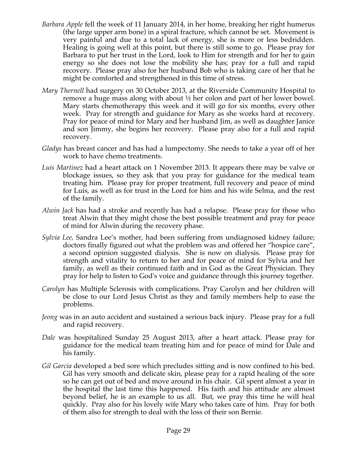- *Barbara Apple* fell the week of 11 January 2014, in her home, breaking her right humerus (the large upper arm bone) in a spiral fracture, which cannot be set. Movement is very painful and due to a total lack of energy, she is more or less bedridden. Healing is going well at this point, but there is still some to go. Please pray for Barbara to put her trust in the Lord, look to Him for strength and for her to gain energy so she does not lose the mobility she has; pray for a full and rapid recovery. Please pray also for her husband Bob who is taking care of her that he might be comforted and strengthened in this time of stress.
- *Mary Thornell* had surgery on 30 October 2013, at the Riverside Community Hospital to remove a huge mass along with about ½ her colon and part of her lower bowel. Mary starts chemotherapy this week and it will go for six months, every other week. Pray for strength and guidance for Mary as she works hard at recovery. Pray for peace of mind for Mary and her husband Jim, as well as daughter Janice and son Jimmy, she begins her recovery. Please pray also for a full and rapid recovery.
- *Gladys* has breast cancer and has had a lumpectomy. She needs to take a year off of her work to have chemo treatments.
- *Luis Martinez* had a heart attack on 1 November 2013. It appears there may be valve or blockage issues, so they ask that you pray for guidance for the medical team treating him. Please pray for proper treatment, full recovery and peace of mind for Luis, as well as for trust in the Lord for him and his wife Selma, and the rest of the family.
- *Alwin Jack* has had a stroke and recently has had a relapse. Please pray for those who treat Alwin that they might chose the best possible treatment and pray for peace of mind for Alwin during the recovery phase.
- *Sylvia Lee,* Sandra Lee's mother, had been suffering from undiagnosed kidney failure; doctors finally figured out what the problem was and offered her "hospice care", a second opinion suggested dialysis. She is now on dialysis. Please pray for strength and vitality to return to her and for peace of mind for Sylvia and her family, as well as their continued faith and in God as the Great Physician. They pray for help to listen to God's voice and guidance through this journey together.
- *Carolyn* has Multiple Sclerosis with complications. Pray Carolyn and her children will be close to our Lord Jesus Christ as they and family members help to ease the problems.
- *Jeong* was in an auto accident and sustained a serious back injury. Please pray for a full and rapid recovery.
- *Dale* was hospitalized Sunday 25 August 2013, after a heart attack. Please pray for guidance for the medical team treating him and for peace of mind for Dale and his family.
- *Gil Garcia* developed a bed sore which precludes sitting and is now confined to his bed. Gil has very smooth and delicate skin, please pray for a rapid healing of the sore so he can get out of bed and move around in his chair. Gil spent almost a year in the hospital the last time this happened. His faith and his attitude are almost beyond belief, he is an example to us all. But, we pray this time he will heal quickly. Pray also for his lovely wife Mary who takes care of him. Pray for both of them also for strength to deal with the loss of their son Bernie.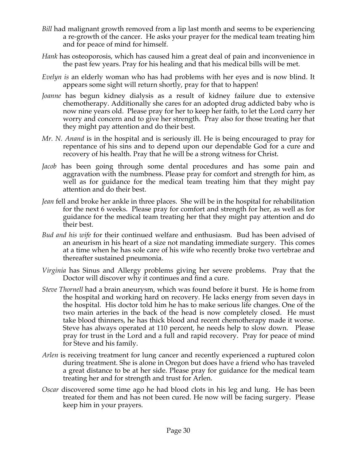- *Bill* had malignant growth removed from a lip last month and seems to be experiencing a re-growth of the cancer. He asks your prayer for the medical team treating him and for peace of mind for himself.
- *Hank* has osteoporosis, which has caused him a great deal of pain and inconvenience in the past few years. Pray for his healing and that his medical bills will be met.
- *Evelyn is* an elderly woman who has had problems with her eyes and is now blind. It appears some sight will return shortly, pray for that to happen!
- *Joanne* has begun kidney dialysis as a result of kidney failure due to extensive chemotherapy. Additionally she cares for an adopted drug addicted baby who is now nine years old. Please pray for her to keep her faith, to let the Lord carry her worry and concern and to give her strength. Pray also for those treating her that they might pay attention and do their best.
- *Mr. N. Anand* is in the hospital and is seriously ill. He is being encouraged to pray for repentance of his sins and to depend upon our dependable God for a cure and recovery of his health. Pray that he will be a strong witness for Christ.
- *Jacob* has been going through some dental procedures and has some pain and aggravation with the numbness. Please pray for comfort and strength for him, as well as for guidance for the medical team treating him that they might pay attention and do their best.
- *Jean* fell and broke her ankle in three places. She will be in the hospital for rehabilitation for the next 6 weeks. Please pray for comfort and strength for her, as well as for guidance for the medical team treating her that they might pay attention and do their best.
- *Bud and his wife* for their continued welfare and enthusiasm. Bud has been advised of an aneurism in his heart of a size not mandating immediate surgery. This comes at a time when he has sole care of his wife who recently broke two vertebrae and thereafter sustained pneumonia.
- *Virginia* has Sinus and Allergy problems giving her severe problems. Pray that the Doctor will discover why it continues and find a cure.
- *Steve Thornell* had a brain aneurysm, which was found before it burst. He is home from the hospital and working hard on recovery. He lacks energy from seven days in the hospital. His doctor told him he has to make serious life changes. One of the two main arteries in the back of the head is now completely closed. He must take blood thinners, he has thick blood and recent chemotherapy made it worse. Steve has always operated at 110 percent, he needs help to slow down. Please pray for trust in the Lord and a full and rapid recovery. Pray for peace of mind for Steve and his family.
- *Arlen* is receiving treatment for lung cancer and recently experienced a ruptured colon during treatment. She is alone in Oregon but does have a friend who has traveled a great distance to be at her side. Please pray for guidance for the medical team treating her and for strength and trust for Arlen.
- *Oscar* discovered some time ago he had blood clots in his leg and lung. He has been treated for them and has not been cured. He now will be facing surgery. Please keep him in your prayers.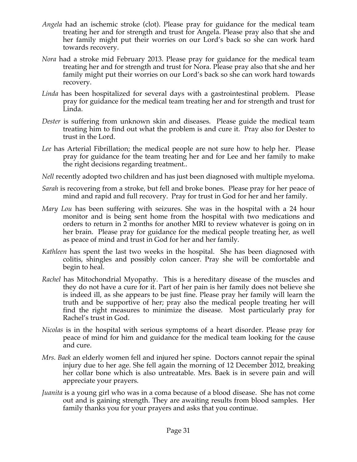- *Angela* had an ischemic stroke (clot). Please pray for guidance for the medical team treating her and for strength and trust for Angela. Please pray also that she and her family might put their worries on our Lord's back so she can work hard towards recovery.
- *Nora* had a stroke mid February 2013. Please pray for guidance for the medical team treating her and for strength and trust for Nora. Please pray also that she and her family might put their worries on our Lord's back so she can work hard towards recovery.
- *Linda* has been hospitalized for several days with a gastrointestinal problem. Please pray for guidance for the medical team treating her and for strength and trust for Linda.
- *Dester* is suffering from unknown skin and diseases. Please guide the medical team treating him to find out what the problem is and cure it. Pray also for Dester to trust in the Lord.
- *Lee* has Arterial Fibrillation; the medical people are not sure how to help her. Please pray for guidance for the team treating her and for Lee and her family to make the right decisions regarding treatment..
- *Nell* recently adopted two children and has just been diagnosed with multiple myeloma.
- *Sarah* is recovering from a stroke, but fell and broke bones. Please pray for her peace of mind and rapid and full recovery. Pray for trust in God for her and her family.
- *Mary Lou* has been suffering with seizures. She was in the hospital with a 24 hour monitor and is being sent home from the hospital with two medications and orders to return in 2 months for another MRI to review whatever is going on in her brain. Please pray for guidance for the medical people treating her, as well as peace of mind and trust in God for her and her family.
- *Kathleen* has spent the last two weeks in the hospital. She has been diagnosed with colitis, shingles and possibly colon cancer. Pray she will be comfortable and begin to heal.
- *Rachel* has Mitochondrial Myopathy. This is a hereditary disease of the muscles and they do not have a cure for it. Part of her pain is her family does not believe she is indeed ill, as she appears to be just fine. Please pray her family will learn the truth and be supportive of her; pray also the medical people treating her will find the right measures to minimize the disease. Most particularly pray for Rachel's trust in God.
- *Nicolas* is in the hospital with serious symptoms of a heart disorder. Please pray for peace of mind for him and guidance for the medical team looking for the cause and cure.
- *Mrs. Baek* an elderly women fell and injured her spine. Doctors cannot repair the spinal injury due to her age. She fell again the morning of 12 December 2012, breaking her collar bone which is also untreatable. Mrs. Baek is in severe pain and will appreciate your prayers.
- *Juanita* is a young girl who was in a coma because of a blood disease. She has not come out and is gaining strength. They are awaiting results from blood samples. Her family thanks you for your prayers and asks that you continue.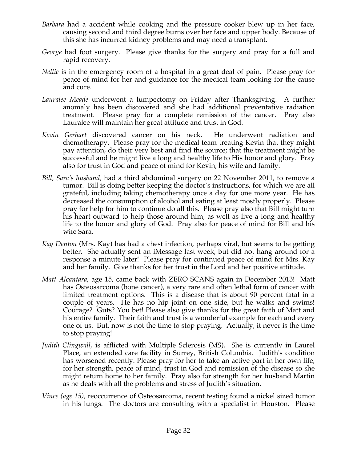- *Barbara* had a accident while cooking and the pressure cooker blew up in her face, causing second and third degree burns over her face and upper body. Because of this she has incurred kidney problems and may need a transplant.
- *George* had foot surgery. Please give thanks for the surgery and pray for a full and rapid recovery.
- *Nellie* is in the emergency room of a hospital in a great deal of pain. Please pray for peace of mind for her and guidance for the medical team looking for the cause and cure.
- *Lauralee Meade* underwent a lumpectomy on Friday after Thanksgiving. A further anomaly has been discovered and she had additional preventative radiation treatment. Please pray for a complete remission of the cancer. Pray also Lauralee will maintain her great attitude and trust in God.
- *Kevin Gerhart* discovered cancer on his neck. He underwent radiation and chemotherapy. Please pray for the medical team treating Kevin that they might pay attention, do their very best and find the source; that the treatment might be successful and he might live a long and healthy life to His honor and glory. Pray also for trust in God and peace of mind for Kevin, his wife and family.
- *Bill, Sara's husband,* had a third abdominal surgery on 22 November 2011, to remove a tumor. Bill is doing better keeping the doctor's instructions, for which we are all grateful, including taking chemotherapy once a day for one more year. He has decreased the consumption of alcohol and eating at least mostly properly. Please pray for help for him to continue do all this. Please pray also that Bill might turn his heart outward to help those around him, as well as live a long and healthy life to the honor and glory of God. Pray also for peace of mind for Bill and his wife Sara.
- *Kay Denton* (Mrs. Kay) has had a chest infection, perhaps viral, but seems to be getting better. She actually sent an iMessage last week, but did not hang around for a response a minute later! Please pray for continued peace of mind for Mrs. Kay and her family. Give thanks for her trust in the Lord and her positive attitude.
- *Matt Alcantara*, age 15, came back with ZERO SCANS again in December 2013! Matt has Osteosarcoma (bone cancer), a very rare and often lethal form of cancer with limited treatment options. This is a disease that is about 90 percent fatal in a couple of years. He has no hip joint on one side, but he walks and swims! Courage? Guts? You bet! Please also give thanks for the great faith of Matt and his entire family. Their faith and trust is a wonderful example for each and every one of us. But, now is not the time to stop praying. Actually, it never is the time to stop praying!
- *Judith Clingwall*, is afflicted with Multiple Sclerosis (MS). She is currently in Laurel Place, an extended care facility in Surrey, British Columbia. Judith's condition has worsened recently. Please pray for her to take an active part in her own life, for her strength, peace of mind, trust in God and remission of the disease so she might return home to her family. Pray also for strength for her husband Martin as he deals with all the problems and stress of Judith's situation.
- *Vince (age 15),* reoccurrence of Osteosarcoma, recent testing found a nickel sized tumor in his lungs. The doctors are consulting with a specialist in Houston. Please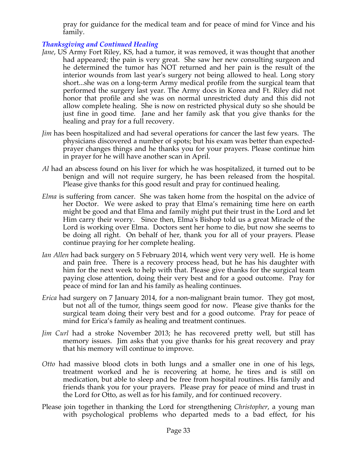pray for guidance for the medical team and for peace of mind for Vince and his family.

# *Thanksgiving and Continued Healing*

- *Jane*, US Army Fort Riley, KS, had a tumor, it was removed, it was thought that another had appeared; the pain is very great. She saw her new consulting surgeon and he determined the tumor has NOT returned and her pain is the result of the interior wounds from last year's surgery not being allowed to heal. Long story short...she was on a long-term Army medical profile from the surgical team that performed the surgery last year. The Army docs in Korea and Ft. Riley did not honor that profile and she was on normal unrestricted duty and this did not allow complete healing. She is now on restricted physical duty so she should be just fine in good time. Jane and her family ask that you give thanks for the healing and pray for a full recovery.
- *Jim* has been hospitalized and had several operations for cancer the last few years. The physicians discovered a number of spots; but his exam was better than expectedprayer changes things and he thanks you for your prayers. Please continue him in prayer for he will have another scan in April.
- *Al* had an abscess found on his liver for which he was hospitalized, it turned out to be benign and will not require surgery, he has been released from the hospital. Please give thanks for this good result and pray for continued healing.
- *Elma* is suffering from cancer. She was taken home from the hospital on the advice of her Doctor. We were asked to pray that Elma's remaining time here on earth might be good and that Elma and family might put their trust in the Lord and let Him carry their worry. Since then, Elma's Bishop told us a great Miracle of the Lord is working over Elma. Doctors sent her home to die, but now she seems to be doing all right. On behalf of her, thank you for all of your prayers. Please continue praying for her complete healing.
- *Ian Allen* had back surgery on 5 February 2014, which went very very well. He is home and pain free. There is a recovery process head, but he has his daughter with him for the next week to help with that. Please give thanks for the surgical team paying close attention, doing their very best and for a good outcome. Pray for peace of mind for Ian and his family as healing continues.
- *Erica* had surgery on 7 January 2014, for a non-malignant brain tumor. They got most, but not all of the tumor, things seem good for now. Please give thanks for the surgical team doing their very best and for a good outcome. Pray for peace of mind for Erica's family as healing and treatment continues.
- *Jim Curl* had a stroke November 2013; he has recovered pretty well, but still has memory issues. Jim asks that you give thanks for his great recovery and pray that his memory will continue to improve.
- *Otto* had massive blood clots in both lungs and a smaller one in one of his legs, treatment worked and he is recovering at home, he tires and is still on medication, but able to sleep and be free from hospital routines. His family and friends thank you for your prayers. Please pray for peace of mind and trust in the Lord for Otto, as well as for his family, and for continued recovery.
- Please join together in thanking the Lord for strengthening *Christopher*, a young man with psychological problems who departed meds to a bad effect, for his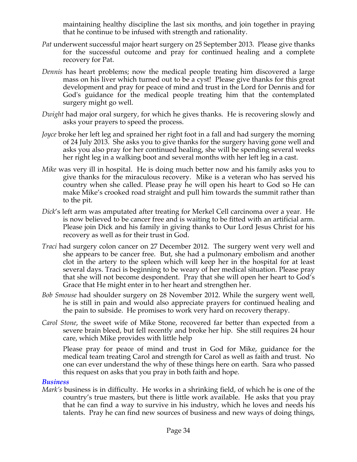maintaining healthy discipline the last six months, and join together in praying that he continue to be infused with strength and rationality.

- *Pat* underwent successful major heart surgery on 25 September 2013. Please give thanks for the successful outcome and pray for continued healing and a complete recovery for Pat.
- *Dennis* has heart problems; now the medical people treating him discovered a large mass on his liver which turned out to be a cyst! Please give thanks for this great development and pray for peace of mind and trust in the Lord for Dennis and for God's guidance for the medical people treating him that the contemplated surgery might go well.
- *Dwight* had major oral surgery, for which he gives thanks. He is recovering slowly and asks your prayers to speed the process.
- *Joyce* broke her left leg and sprained her right foot in a fall and had surgery the morning of 24 July 2013. She asks you to give thanks for the surgery having gone well and asks you also pray for her continued healing, she will be spending several weeks her right leg in a walking boot and several months with her left leg in a cast.
- *Mike* was very ill in hospital. He is doing much better now and his family asks you to give thanks for the miraculous recovery. Mike is a veteran who has served his country when she called. Please pray he will open his heart to God so He can make Mike's crooked road straight and pull him towards the summit rather than to the pit.
- *Dick*'s left arm was amputated after treating for Merkel Cell carcinoma over a year. He is now believed to be cancer free and is waiting to be fitted with an artificial arm. Please join Dick and his family in giving thanks to Our Lord Jesus Christ for his recovery as well as for their trust in God.
- *Traci* had surgery colon cancer on 27 December 2012. The surgery went very well and she appears to be cancer free. But, she had a pulmonary embolism and another clot in the artery to the spleen which will keep her in the hospital for at least several days. Traci is beginning to be weary of her medical situation. Please pray that she will not become despondent. Pray that she will open her heart to God's Grace that He might enter in to her heart and strengthen her.
- *Bob Smouse* had shoulder surgery on 28 November 2012. While the surgery went well, he is still in pain and would also appreciate prayers for continued healing and the pain to subside. He promises to work very hard on recovery therapy.
- *Carol Stone*, the sweet wife of Mike Stone, recovered far better than expected from a severe brain bleed, but fell recently and broke her hip. She still requires 24 hour care, which Mike provides with little help

Please pray for peace of mind and trust in God for Mike, guidance for the medical team treating Carol and strength for Carol as well as faith and trust. No one can ever understand the why of these things here on earth. Sara who passed this request on asks that you pray in both faith and hope.

# *Business*

*Mark's* business is in difficulty. He works in a shrinking field, of which he is one of the country's true masters, but there is little work available. He asks that you pray that he can find a way to survive in his industry, which he loves and needs his talents. Pray he can find new sources of business and new ways of doing things,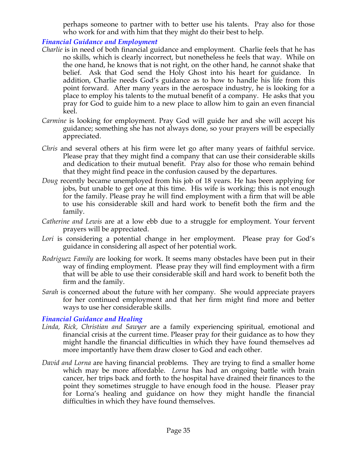perhaps someone to partner with to better use his talents. Pray also for those who work for and with him that they might do their best to help.

*Financial Guidance and Employment*

- *Charlie* is in need of both financial guidance and employment. Charlie feels that he has no skills, which is clearly incorrect, but nonetheless he feels that way. While on the one hand, he knows that is not right, on the other hand, he cannot shake that belief. Ask that God send the Holy Ghost into his heart for guidance. In addition, Charlie needs God's guidance as to how to handle his life from this point forward. After many years in the aerospace industry, he is looking for a place to employ his talents to the mutual benefit of a company. He asks that you pray for God to guide him to a new place to allow him to gain an even financial keel.
- *Carmine* is looking for employment. Pray God will guide her and she will accept his guidance; something she has not always done, so your prayers will be especially appreciated.
- *Chris* and several others at his firm were let go after many years of faithful service. Please pray that they might find a company that can use their considerable skills and dedication to their mutual benefit. Pray also for those who remain behind that they might find peace in the confusion caused by the departures.
- *Doug* recently became unemployed from his job of 18 years. He has been applying for jobs, but unable to get one at this time. His wife is working; this is not enough for the family. Please pray he will find employment with a firm that will be able to use his considerable skill and hard work to benefit both the firm and the family.
- *Catherine and Lewis* are at a low ebb due to a struggle for employment. Your fervent prayers will be appreciated.
- Lori is considering a potential change in her employment. Please pray for God's guidance in considering all aspect of her potential work.
- *Rodriguez Family* are looking for work. It seems many obstacles have been put in their way of finding employment. Please pray they will find employment with a firm that will be able to use their considerable skill and hard work to benefit both the firm and the family.
- *Sarah* is concerned about the future with her company. She would appreciate prayers for her continued employment and that her firm might find more and better ways to use her considerable skills.

# *Financial Guidance and Healing*

- *Linda, Rick, Christian and Sawyer* are a family experiencing spiritual, emotional and financial crisis at the current time. Pleaser pray for their guidance as to how they might handle the financial difficulties in which they have found themselves ad more importantly have them draw closer to God and each other.
- *David and Lorna* are having financial problems. They are trying to find a smaller home which may be more affordable. *Lorna* has had an ongoing battle with brain cancer, her trips back and forth to the hospital have drained their finances to the point they sometimes struggle to have enough food in the house. Pleaser pray for Lorna's healing and guidance on how they might handle the financial difficulties in which they have found themselves.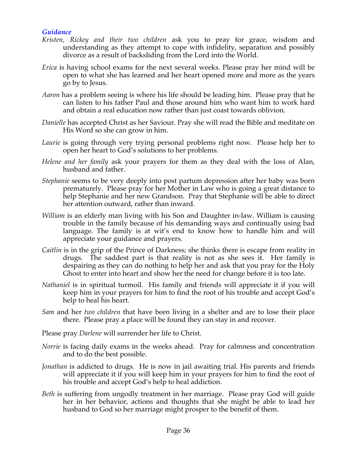# *Guidance*

- *Kristen, Rickey and their two children* ask you to pray for grace, wisdom and understanding as they attempt to cope with infidelity, separation and possibly divorce as a result of backsliding from the Lord into the World.
- *Erica* is having school exams for the next several weeks. Please pray her mind will be open to what she has learned and her heart opened more and more as the years go by to Jesus.
- *Aaron* has a problem seeing is where his life should be leading him. Please pray that he can listen to his father Paul and those around him who want him to work hard and obtain a real education now rather than just coast towards oblivion.
- *Danielle* has accepted Christ as her Saviour. Pray she will read the Bible and meditate on His Word so she can grow in him.
- *Laurie* is going through very trying personal problems right now. Please help her to open her heart to God's solutions to her problems.
- *Helene and her family* ask your prayers for them as they deal with the loss of Alan, husband and father.
- *Stephanie* seems to be very deeply into post partum depression after her baby was born prematurely. Please pray for her Mother in Law who is going a great distance to help Stephanie and her new Grandson. Pray that Stephanie will be able to direct her attention outward, rather than inward.
- *William* is an elderly man living with his Son and Daughter in-law. William is causing trouble in the family because of his demanding ways and continually using bad language. The family is at wit's end to know how to handle him and will appreciate your guidance and prayers.
- *Caitlin* is in the grip of the Prince of Darkness; she thinks there is escape from reality in drugs. The saddest part is that reality is not as she sees it. Her family is despairing as they can do nothing to help her and ask that you pray for the Holy Ghost to enter into heart and show her the need for change before it is too late.
- *Nathaniel* is in spiritual turmoil. His family and friends will appreciate it if you will keep him in your prayers for him to find the root of his trouble and accept God's help to heal his heart.
- *Sam* and her *two children* that have been living in a shelter and are to lose their place there. Please pray a place will be found they can stay in and recover.
- Please pray *Darlene* will surrender her life to Christ.
- *Norrie* is facing daily exams in the weeks ahead. Pray for calmness and concentration and to do the best possible.
- *Jonathan* is addicted to drugs. He is now in jail awaiting trial. His parents and friends will appreciate it if you will keep him in your prayers for him to find the root of his trouble and accept God's help to heal addiction.
- *Beth* is suffering from ungodly treatment in her marriage. Please pray God will guide her in her behavior, actions and thoughts that she might be able to lead her husband to God so her marriage might prosper to the benefit of them.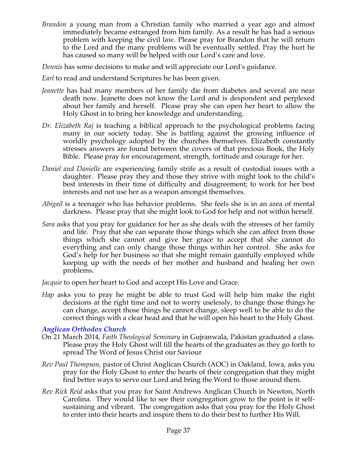*Brandon* a young man from a Christian family who married a year ago and almost immediately became estranged from him family. As a result he has had a serious problem with keeping the civil law. Please pray for Brandon that he will return to the Lord and the many problems will be eventually settled. Pray the hurt he has caused so many will be helped with our Lord's care and love.

*Dennis* has some decisions to make and will appreciate our Lord's guidance.

- *Earl* to read and understand Scriptures he has been given.
- *Jeanette* has had many members of her family die from diabetes and several are near death now. Jeanette does not know the Lord and is despondent and perplexed about her family and herself. Please pray she can open her heart to allow the Holy Ghost in to bring her knowledge and understanding.
- *Dr. Elizabeth Raj* is teaching a biblical approach to the psychological problems facing many in our society today. She is battling against the growing influence of worldly psychology adopted by the churches themselves. Elizabeth constantly stresses answers are found between the covers of that precious Book, the Holy Bible. Please pray for encouragement, strength, fortitude and courage for her.
- *Daniel and Danielle* are experiencing family strife as a result of custodial issues with a daughter. Please pray they and those they strive with might look to the child's best interests in their time of difficulty and disagreement; to work for her best interests and not use her as a weapon amongst themselves.
- *Abigail* is a teenager who has behavior problems. She feels she is in an area of mental darkness. Please pray that she might look to God for help and not within herself.
- *Sara* asks that you pray for guidance for her as she deals with the stresses of her family and life. Pray that she can separate those things which she can affect from those things which she cannot and give her grace to accept that she cannot do everything and can only change those things within her control. She asks for God's help for her business so that she might remain gainfully employed while keeping up with the needs of her mother and husband and healing her own problems.

*Jacquie* to open her heart to God and accept His Love and Grace.

*Hap* asks you to pray he might be able to trust God will help him make the right decisions at the right time and not to worry uselessly, to change those things he can change, accept those things he cannot change, sleep well to be able to do the correct things with a clear head and that he will open his heart to the Holy Ghost.

# *Anglican Orthodox Church*

- On 21 March 2014, *Faith Theological Seminary* in Gujranwala, Pakistan graduated a class. Please pray the Holy Ghost will fill the hearts of the graduates as they go forth to spread The Word of Jesus Christ our Saviour
- *Rev Paul Thompson,* pastor of Christ Anglican Church (AOC) in Oakland, Iowa, asks you pray for the Holy Ghost to enter the hearts of their congregation that they might find better ways to serve our Lord and bring the Word to those around them.
- *Rev Rick Reid* asks that you pray for Saint Andrews Anglican Church in Newton, North Carolina. They would like to see their congregation grow to the point is it selfsustaining and vibrant. The congregation asks that you pray for the Holy Ghost to enter into their hearts and inspire them to do their best to further His Will.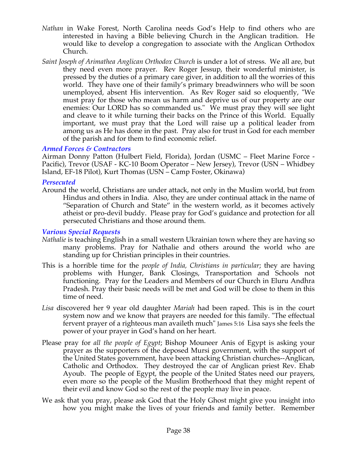- *Nathan* in Wake Forest, North Carolina needs God's Help to find others who are interested in having a Bible believing Church in the Anglican tradition. He would like to develop a congregation to associate with the Anglican Orthodox Church.
- *Saint Joseph of Arimathea Anglican Orthodox Church* is under a lot of stress. We all are, but they need even more prayer. Rev Roger Jessup, their wonderful minister, is pressed by the duties of a primary care giver, in addition to all the worries of this world. They have one of their family's primary breadwinners who will be soon unemployed, absent His intervention. As Rev Roger said so eloquently, "We must pray for those who mean us harm and deprive us of our property are our enemies: Our LORD has so commanded us." We must pray they will see light and cleave to it while turning their backs on the Prince of this World. Equally important, we must pray that the Lord will raise up a political leader from among us as He has done in the past. Pray also for trust in God for each member of the parish and for them to find economic relief.

# *Armed Forces & Contractors*

Airman Donny Patton (Hulbert Field, Florida), Jordan (USMC – Fleet Marine Force - Pacific), Trevor (USAF - KC-10 Boom Operator – New Jersey), Trevor (USN – Whidbey Island, EF-18 Pilot), Kurt Thomas (USN – Camp Foster, Okinawa)

# *Persecuted*

Around the world, Christians are under attack, not only in the Muslim world, but from Hindus and others in India. Also, they are under continual attack in the name of "Separation of Church and State" in the western world, as it becomes actively atheist or pro-devil buddy. Please pray for God's guidance and protection for all persecuted Christians and those around them.

# *Various Special Requests*

- *Nathalie* is teaching English in a small western Ukrainian town where they are having so many problems. Pray for Nathalie and others around the world who are standing up for Christian principles in their countries.
- This is a horrible time for the *people of India, Christians in particular*; they are having problems with Hunger, Bank Closings, Transportation and Schools not functioning. Pray for the Leaders and Members of our Church in Eluru Andhra Pradesh. Pray their basic needs will be met and God will be close to them in this time of need.
- *Lisa* discovered her 9 year old daughter *Mariah* had been raped. This is in the court system now and we know that prayers are needed for this family. "The effectual fervent prayer of a righteous man availeth much" James 5:16 Lisa says she feels the power of your prayer in God's hand on her heart.
- Please pray for *all the people of Egypt*; Bishop Mouneer Anis of Egypt is asking your prayer as the supporters of the deposed Mursi government, with the support of the United States government, have been attacking Christian churches--Anglican, Catholic and Orthodox. They destroyed the car of Anglican priest Rev. Ehab Ayoub. The people of Egypt, the people of the United States need our prayers, even more so the people of the Muslim Brotherhood that they might repent of their evil and know God so the rest of the people may live in peace.
- We ask that you pray, please ask God that the Holy Ghost might give you insight into how you might make the lives of your friends and family better. Remember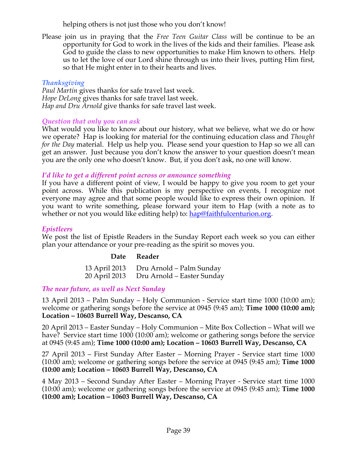helping others is not just those who you don't know!

Please join us in praying that the *Free Teen Guitar Class* will be continue to be an opportunity for God to work in the lives of the kids and their families. Please ask God to guide the class to new opportunities to make Him known to others. Help us to let the love of our Lord shine through us into their lives, putting Him first, so that He might enter in to their hearts and lives.

# *Thanksgiving*

*Paul Martin* gives thanks for safe travel last week. *Hope DeLong* gives thanks for safe travel last week. *Hap and Dru Arnold* give thanks for safe travel last week.

# *Question that only you can ask*

What would you like to know about our history, what we believe, what we do or how we operate? Hap is looking for material for the continuing education class and *Thought for the Day* material. Help us help you. Please send your question to Hap so we all can get an answer. Just because you don't know the answer to your question doesn't mean you are the only one who doesn't know. But, if you don't ask, no one will know.

# *I'd like to get a different point across or announce something*

If you have a different point of view, I would be happy to give you room to get your point across. While this publication is my perspective on events, I recognize not everyone may agree and that some people would like to express their own opinion. If you want to write something, please forward your item to Hap (with a note as to whether or not you would like editing help) to: hap@faithfulcenturion.org.

# *Epistleers*

We post the list of Epistle Readers in the Sunday Report each week so you can either plan your attendance or your pre-reading as the spirit so moves you.

# **Date Reader**

| 13 April 2013 | Dru Arnold – Palm Sunday   |
|---------------|----------------------------|
| 20 April 2013 | Dru Arnold – Easter Sunday |

# *The near future, as well as Next Sunday*

13 April 2013 – Palm Sunday – Holy Communion - Service start time 1000 (10:00 am); welcome or gathering songs before the service at 0945 (9:45 am); **Time 1000 (10:00 am); Location – 10603 Burrell Way, Descanso, CA**

20 April 2013 – Easter Sunday – Holy Communion – Mite Box Collection – What will we have? Service start time 1000 (10:00 am); welcome or gathering songs before the service at 0945 (9:45 am); **Time 1000 (10:00 am); Location – 10603 Burrell Way, Descanso, CA**

27 April 2013 – First Sunday After Easter – Morning Prayer - Service start time 1000 (10:00 am); welcome or gathering songs before the service at 0945 (9:45 am); **Time 1000 (10:00 am); Location – 10603 Burrell Way, Descanso, CA**

4 May 2013 – Second Sunday After Easter – Morning Prayer - Service start time 1000 (10:00 am); welcome or gathering songs before the service at 0945 (9:45 am); **Time 1000 (10:00 am); Location – 10603 Burrell Way, Descanso, CA**